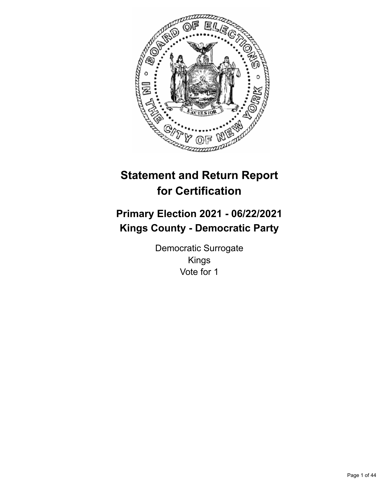

# **Statement and Return Report for Certification**

# **Primary Election 2021 - 06/22/2021 Kings County - Democratic Party**

Democratic Surrogate Kings Vote for 1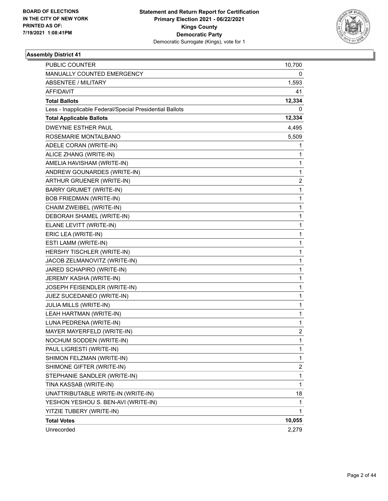

| Unrecorded                                                                       | 2,279                   |
|----------------------------------------------------------------------------------|-------------------------|
| <b>Total Votes</b>                                                               | 10,055                  |
| YITZIE TUBERY (WRITE-IN)                                                         | 1                       |
| YESHON YESHOU S. BEN-AVI (WRITE-IN)                                              | 1                       |
| UNATTRIBUTABLE WRITE-IN (WRITE-IN)                                               | 18                      |
| TINA KASSAB (WRITE-IN)                                                           | 1                       |
| STEPHANIE SANDLER (WRITE-IN)                                                     | $\mathbf{1}$            |
| SHIMONE GIFTER (WRITE-IN)                                                        | $\overline{\mathbf{c}}$ |
| SHIMON FELZMAN (WRITE-IN)                                                        | 1                       |
| PAUL LIGRESTI (WRITE-IN)                                                         | 1                       |
| NOCHUM SODDEN (WRITE-IN)                                                         | $\mathbf{1}$            |
| MAYER MAYERFELD (WRITE-IN)                                                       | 2                       |
| LUNA PEDRENA (WRITE-IN)                                                          | 1                       |
| LEAH HARTMAN (WRITE-IN)                                                          | 1                       |
| <b>JULIA MILLS (WRITE-IN)</b>                                                    | 1                       |
| JUEZ SUCEDANEO (WRITE-IN)                                                        | $\mathbf 1$             |
| JOSEPH FEISENDLER (WRITE-IN)                                                     | $\mathbf 1$             |
| JEREMY KASHA (WRITE-IN)                                                          | 1                       |
| JARED SCHAPIRO (WRITE-IN)                                                        | 1                       |
| JACOB ZELMANOVITZ (WRITE-IN)                                                     | 1                       |
| HERSHY TISCHLER (WRITE-IN)                                                       | 1                       |
| ESTI LAMM (WRITE-IN)                                                             | $\mathbf 1$             |
| ERIC LEA (WRITE-IN)                                                              | $\mathbf 1$             |
| ELANE LEVITT (WRITE-IN)                                                          | 1                       |
| DEBORAH SHAMEL (WRITE-IN)                                                        | 1                       |
| CHAIM ZWEIBEL (WRITE-IN)                                                         | 1                       |
| <b>BOB FRIEDMAN (WRITE-IN)</b>                                                   | 1                       |
| <b>BARRY GRUMET (WRITE-IN)</b>                                                   | $\mathbf 1$             |
| ARTHUR GRUENER (WRITE-IN)                                                        | $\overline{\mathbf{c}}$ |
| ANDREW GOUNARDES (WRITE-IN)                                                      | 1                       |
| AMELIA HAVISHAM (WRITE-IN)                                                       | 1                       |
| ADELE CORAN (WRITE-IN)<br>ALICE ZHANG (WRITE-IN)                                 | 1<br>1                  |
| ROSEMARIE MONTALBANO                                                             | 5,509                   |
|                                                                                  | 4,495                   |
| <b>DWEYNIE ESTHER PAUL</b>                                                       |                         |
| <b>Total Applicable Ballots</b>                                                  | 12,334                  |
| <b>Total Ballots</b><br>Less - Inapplicable Federal/Special Presidential Ballots | 12,334<br>0             |
| AFFIDAVIT                                                                        | 41                      |
| <b>ABSENTEE / MILITARY</b>                                                       | 1,593                   |
| MANUALLY COUNTED EMERGENCY                                                       | 0                       |
| PUBLIC COUNTER                                                                   | 10,700                  |
|                                                                                  |                         |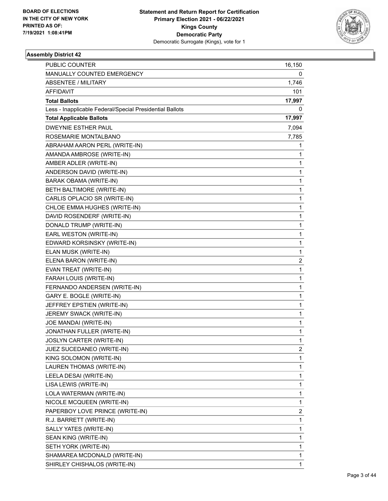

| MANUALLY COUNTED EMERGENCY<br>0<br><b>ABSENTEE / MILITARY</b><br>1,746<br>AFFIDAVIT<br>101<br><b>Total Ballots</b><br>17,997<br>Less - Inapplicable Federal/Special Presidential Ballots<br>0<br><b>Total Applicable Ballots</b><br>17,997<br><b>DWEYNIE ESTHER PAUL</b><br>7,094<br>ROSEMARIE MONTALBANO<br>7,785<br>ABRAHAM AARON PERL (WRITE-IN)<br>1<br>AMANDA AMBROSE (WRITE-IN)<br>1<br>AMBER ADLER (WRITE-IN)<br>1<br>ANDERSON DAVID (WRITE-IN)<br>$\mathbf{1}$<br>BARAK OBAMA (WRITE-IN)<br>1<br>BETH BALTIMORE (WRITE-IN)<br>$\mathbf{1}$<br>CARLIS OPLACIO SR (WRITE-IN)<br>1<br>CHLOE EMMA HUGHES (WRITE-IN)<br>1<br>DAVID ROSENDERF (WRITE-IN)<br>1<br>$\mathbf{1}$<br>DONALD TRUMP (WRITE-IN)<br>EARL WESTON (WRITE-IN)<br>1<br>EDWARD KORSINSKY (WRITE-IN)<br>$\mathbf{1}$<br>ELAN MUSK (WRITE-IN)<br>1<br>ELENA BARON (WRITE-IN)<br>2<br>EVAN TREAT (WRITE-IN)<br>1<br>FARAH LOUIS (WRITE-IN)<br>$\mathbf{1}$<br>FERNANDO ANDERSEN (WRITE-IN)<br>1<br>GARY E. BOGLE (WRITE-IN)<br>$\mathbf{1}$<br>JEFFREY EPSTIEN (WRITE-IN)<br>1<br>JEREMY SWACK (WRITE-IN)<br>1<br>JOE MANDAI (WRITE-IN)<br>1<br>JONATHAN FULLER (WRITE-IN)<br>1<br>JOSLYN CARTER (WRITE-IN)<br>1<br>JUEZ SUCEDANEO (WRITE-IN)<br>2<br>KING SOLOMON (WRITE-IN)<br>1<br>LAUREN THOMAS (WRITE-IN)<br>1<br>1<br>LEELA DESAI (WRITE-IN)<br>LISA LEWIS (WRITE-IN)<br>1<br>LOLA WATERMAN (WRITE-IN)<br>1<br>NICOLE MCQUEEN (WRITE-IN)<br>1<br>PAPERBOY LOVE PRINCE (WRITE-IN)<br>2<br>R.J. BARRETT (WRITE-IN)<br>1<br>1<br>SALLY YATES (WRITE-IN)<br>1<br>SEAN KING (WRITE-IN)<br>SETH YORK (WRITE-IN)<br>1<br>SHAMAREA MCDONALD (WRITE-IN)<br>1<br>SHIRLEY CHISHALOS (WRITE-IN)<br>1 | PUBLIC COUNTER | 16,150 |
|------------------------------------------------------------------------------------------------------------------------------------------------------------------------------------------------------------------------------------------------------------------------------------------------------------------------------------------------------------------------------------------------------------------------------------------------------------------------------------------------------------------------------------------------------------------------------------------------------------------------------------------------------------------------------------------------------------------------------------------------------------------------------------------------------------------------------------------------------------------------------------------------------------------------------------------------------------------------------------------------------------------------------------------------------------------------------------------------------------------------------------------------------------------------------------------------------------------------------------------------------------------------------------------------------------------------------------------------------------------------------------------------------------------------------------------------------------------------------------------------------------------------------------------------------------------------------------------------------------------------------------------------------------------|----------------|--------|
|                                                                                                                                                                                                                                                                                                                                                                                                                                                                                                                                                                                                                                                                                                                                                                                                                                                                                                                                                                                                                                                                                                                                                                                                                                                                                                                                                                                                                                                                                                                                                                                                                                                                  |                |        |
|                                                                                                                                                                                                                                                                                                                                                                                                                                                                                                                                                                                                                                                                                                                                                                                                                                                                                                                                                                                                                                                                                                                                                                                                                                                                                                                                                                                                                                                                                                                                                                                                                                                                  |                |        |
|                                                                                                                                                                                                                                                                                                                                                                                                                                                                                                                                                                                                                                                                                                                                                                                                                                                                                                                                                                                                                                                                                                                                                                                                                                                                                                                                                                                                                                                                                                                                                                                                                                                                  |                |        |
|                                                                                                                                                                                                                                                                                                                                                                                                                                                                                                                                                                                                                                                                                                                                                                                                                                                                                                                                                                                                                                                                                                                                                                                                                                                                                                                                                                                                                                                                                                                                                                                                                                                                  |                |        |
|                                                                                                                                                                                                                                                                                                                                                                                                                                                                                                                                                                                                                                                                                                                                                                                                                                                                                                                                                                                                                                                                                                                                                                                                                                                                                                                                                                                                                                                                                                                                                                                                                                                                  |                |        |
|                                                                                                                                                                                                                                                                                                                                                                                                                                                                                                                                                                                                                                                                                                                                                                                                                                                                                                                                                                                                                                                                                                                                                                                                                                                                                                                                                                                                                                                                                                                                                                                                                                                                  |                |        |
|                                                                                                                                                                                                                                                                                                                                                                                                                                                                                                                                                                                                                                                                                                                                                                                                                                                                                                                                                                                                                                                                                                                                                                                                                                                                                                                                                                                                                                                                                                                                                                                                                                                                  |                |        |
|                                                                                                                                                                                                                                                                                                                                                                                                                                                                                                                                                                                                                                                                                                                                                                                                                                                                                                                                                                                                                                                                                                                                                                                                                                                                                                                                                                                                                                                                                                                                                                                                                                                                  |                |        |
|                                                                                                                                                                                                                                                                                                                                                                                                                                                                                                                                                                                                                                                                                                                                                                                                                                                                                                                                                                                                                                                                                                                                                                                                                                                                                                                                                                                                                                                                                                                                                                                                                                                                  |                |        |
|                                                                                                                                                                                                                                                                                                                                                                                                                                                                                                                                                                                                                                                                                                                                                                                                                                                                                                                                                                                                                                                                                                                                                                                                                                                                                                                                                                                                                                                                                                                                                                                                                                                                  |                |        |
|                                                                                                                                                                                                                                                                                                                                                                                                                                                                                                                                                                                                                                                                                                                                                                                                                                                                                                                                                                                                                                                                                                                                                                                                                                                                                                                                                                                                                                                                                                                                                                                                                                                                  |                |        |
|                                                                                                                                                                                                                                                                                                                                                                                                                                                                                                                                                                                                                                                                                                                                                                                                                                                                                                                                                                                                                                                                                                                                                                                                                                                                                                                                                                                                                                                                                                                                                                                                                                                                  |                |        |
|                                                                                                                                                                                                                                                                                                                                                                                                                                                                                                                                                                                                                                                                                                                                                                                                                                                                                                                                                                                                                                                                                                                                                                                                                                                                                                                                                                                                                                                                                                                                                                                                                                                                  |                |        |
|                                                                                                                                                                                                                                                                                                                                                                                                                                                                                                                                                                                                                                                                                                                                                                                                                                                                                                                                                                                                                                                                                                                                                                                                                                                                                                                                                                                                                                                                                                                                                                                                                                                                  |                |        |
|                                                                                                                                                                                                                                                                                                                                                                                                                                                                                                                                                                                                                                                                                                                                                                                                                                                                                                                                                                                                                                                                                                                                                                                                                                                                                                                                                                                                                                                                                                                                                                                                                                                                  |                |        |
|                                                                                                                                                                                                                                                                                                                                                                                                                                                                                                                                                                                                                                                                                                                                                                                                                                                                                                                                                                                                                                                                                                                                                                                                                                                                                                                                                                                                                                                                                                                                                                                                                                                                  |                |        |
|                                                                                                                                                                                                                                                                                                                                                                                                                                                                                                                                                                                                                                                                                                                                                                                                                                                                                                                                                                                                                                                                                                                                                                                                                                                                                                                                                                                                                                                                                                                                                                                                                                                                  |                |        |
|                                                                                                                                                                                                                                                                                                                                                                                                                                                                                                                                                                                                                                                                                                                                                                                                                                                                                                                                                                                                                                                                                                                                                                                                                                                                                                                                                                                                                                                                                                                                                                                                                                                                  |                |        |
|                                                                                                                                                                                                                                                                                                                                                                                                                                                                                                                                                                                                                                                                                                                                                                                                                                                                                                                                                                                                                                                                                                                                                                                                                                                                                                                                                                                                                                                                                                                                                                                                                                                                  |                |        |
|                                                                                                                                                                                                                                                                                                                                                                                                                                                                                                                                                                                                                                                                                                                                                                                                                                                                                                                                                                                                                                                                                                                                                                                                                                                                                                                                                                                                                                                                                                                                                                                                                                                                  |                |        |
|                                                                                                                                                                                                                                                                                                                                                                                                                                                                                                                                                                                                                                                                                                                                                                                                                                                                                                                                                                                                                                                                                                                                                                                                                                                                                                                                                                                                                                                                                                                                                                                                                                                                  |                |        |
|                                                                                                                                                                                                                                                                                                                                                                                                                                                                                                                                                                                                                                                                                                                                                                                                                                                                                                                                                                                                                                                                                                                                                                                                                                                                                                                                                                                                                                                                                                                                                                                                                                                                  |                |        |
|                                                                                                                                                                                                                                                                                                                                                                                                                                                                                                                                                                                                                                                                                                                                                                                                                                                                                                                                                                                                                                                                                                                                                                                                                                                                                                                                                                                                                                                                                                                                                                                                                                                                  |                |        |
|                                                                                                                                                                                                                                                                                                                                                                                                                                                                                                                                                                                                                                                                                                                                                                                                                                                                                                                                                                                                                                                                                                                                                                                                                                                                                                                                                                                                                                                                                                                                                                                                                                                                  |                |        |
|                                                                                                                                                                                                                                                                                                                                                                                                                                                                                                                                                                                                                                                                                                                                                                                                                                                                                                                                                                                                                                                                                                                                                                                                                                                                                                                                                                                                                                                                                                                                                                                                                                                                  |                |        |
|                                                                                                                                                                                                                                                                                                                                                                                                                                                                                                                                                                                                                                                                                                                                                                                                                                                                                                                                                                                                                                                                                                                                                                                                                                                                                                                                                                                                                                                                                                                                                                                                                                                                  |                |        |
|                                                                                                                                                                                                                                                                                                                                                                                                                                                                                                                                                                                                                                                                                                                                                                                                                                                                                                                                                                                                                                                                                                                                                                                                                                                                                                                                                                                                                                                                                                                                                                                                                                                                  |                |        |
|                                                                                                                                                                                                                                                                                                                                                                                                                                                                                                                                                                                                                                                                                                                                                                                                                                                                                                                                                                                                                                                                                                                                                                                                                                                                                                                                                                                                                                                                                                                                                                                                                                                                  |                |        |
|                                                                                                                                                                                                                                                                                                                                                                                                                                                                                                                                                                                                                                                                                                                                                                                                                                                                                                                                                                                                                                                                                                                                                                                                                                                                                                                                                                                                                                                                                                                                                                                                                                                                  |                |        |
|                                                                                                                                                                                                                                                                                                                                                                                                                                                                                                                                                                                                                                                                                                                                                                                                                                                                                                                                                                                                                                                                                                                                                                                                                                                                                                                                                                                                                                                                                                                                                                                                                                                                  |                |        |
|                                                                                                                                                                                                                                                                                                                                                                                                                                                                                                                                                                                                                                                                                                                                                                                                                                                                                                                                                                                                                                                                                                                                                                                                                                                                                                                                                                                                                                                                                                                                                                                                                                                                  |                |        |
|                                                                                                                                                                                                                                                                                                                                                                                                                                                                                                                                                                                                                                                                                                                                                                                                                                                                                                                                                                                                                                                                                                                                                                                                                                                                                                                                                                                                                                                                                                                                                                                                                                                                  |                |        |
|                                                                                                                                                                                                                                                                                                                                                                                                                                                                                                                                                                                                                                                                                                                                                                                                                                                                                                                                                                                                                                                                                                                                                                                                                                                                                                                                                                                                                                                                                                                                                                                                                                                                  |                |        |
|                                                                                                                                                                                                                                                                                                                                                                                                                                                                                                                                                                                                                                                                                                                                                                                                                                                                                                                                                                                                                                                                                                                                                                                                                                                                                                                                                                                                                                                                                                                                                                                                                                                                  |                |        |
|                                                                                                                                                                                                                                                                                                                                                                                                                                                                                                                                                                                                                                                                                                                                                                                                                                                                                                                                                                                                                                                                                                                                                                                                                                                                                                                                                                                                                                                                                                                                                                                                                                                                  |                |        |
|                                                                                                                                                                                                                                                                                                                                                                                                                                                                                                                                                                                                                                                                                                                                                                                                                                                                                                                                                                                                                                                                                                                                                                                                                                                                                                                                                                                                                                                                                                                                                                                                                                                                  |                |        |
|                                                                                                                                                                                                                                                                                                                                                                                                                                                                                                                                                                                                                                                                                                                                                                                                                                                                                                                                                                                                                                                                                                                                                                                                                                                                                                                                                                                                                                                                                                                                                                                                                                                                  |                |        |
|                                                                                                                                                                                                                                                                                                                                                                                                                                                                                                                                                                                                                                                                                                                                                                                                                                                                                                                                                                                                                                                                                                                                                                                                                                                                                                                                                                                                                                                                                                                                                                                                                                                                  |                |        |
|                                                                                                                                                                                                                                                                                                                                                                                                                                                                                                                                                                                                                                                                                                                                                                                                                                                                                                                                                                                                                                                                                                                                                                                                                                                                                                                                                                                                                                                                                                                                                                                                                                                                  |                |        |
|                                                                                                                                                                                                                                                                                                                                                                                                                                                                                                                                                                                                                                                                                                                                                                                                                                                                                                                                                                                                                                                                                                                                                                                                                                                                                                                                                                                                                                                                                                                                                                                                                                                                  |                |        |
|                                                                                                                                                                                                                                                                                                                                                                                                                                                                                                                                                                                                                                                                                                                                                                                                                                                                                                                                                                                                                                                                                                                                                                                                                                                                                                                                                                                                                                                                                                                                                                                                                                                                  |                |        |
|                                                                                                                                                                                                                                                                                                                                                                                                                                                                                                                                                                                                                                                                                                                                                                                                                                                                                                                                                                                                                                                                                                                                                                                                                                                                                                                                                                                                                                                                                                                                                                                                                                                                  |                |        |
|                                                                                                                                                                                                                                                                                                                                                                                                                                                                                                                                                                                                                                                                                                                                                                                                                                                                                                                                                                                                                                                                                                                                                                                                                                                                                                                                                                                                                                                                                                                                                                                                                                                                  |                |        |
|                                                                                                                                                                                                                                                                                                                                                                                                                                                                                                                                                                                                                                                                                                                                                                                                                                                                                                                                                                                                                                                                                                                                                                                                                                                                                                                                                                                                                                                                                                                                                                                                                                                                  |                |        |
|                                                                                                                                                                                                                                                                                                                                                                                                                                                                                                                                                                                                                                                                                                                                                                                                                                                                                                                                                                                                                                                                                                                                                                                                                                                                                                                                                                                                                                                                                                                                                                                                                                                                  |                |        |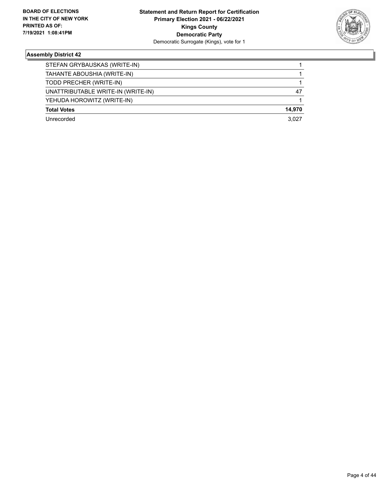

| STEFAN GRYBAUSKAS (WRITE-IN)       |        |
|------------------------------------|--------|
| TAHANTE ABOUSHIA (WRITE-IN)        |        |
| TODD PRECHER (WRITE-IN)            |        |
| UNATTRIBUTABLE WRITE-IN (WRITE-IN) | 47     |
| YEHUDA HOROWITZ (WRITE-IN)         |        |
| <b>Total Votes</b>                 | 14.970 |
| Unrecorded                         | 3.027  |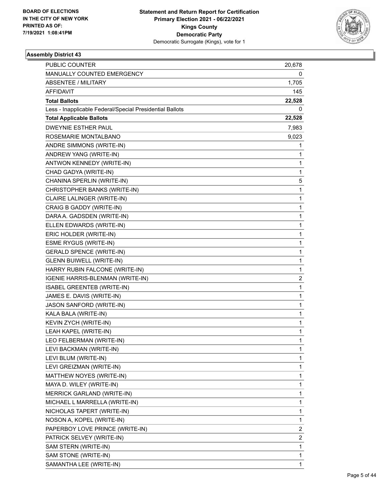

| PUBLIC COUNTER                                           | 20,678 |
|----------------------------------------------------------|--------|
| MANUALLY COUNTED EMERGENCY                               | 0      |
| <b>ABSENTEE / MILITARY</b>                               | 1,705  |
| <b>AFFIDAVIT</b>                                         | 145    |
| <b>Total Ballots</b>                                     | 22,528 |
| Less - Inapplicable Federal/Special Presidential Ballots | 0      |
| <b>Total Applicable Ballots</b>                          | 22,528 |
| DWEYNIE ESTHER PAUL                                      | 7,983  |
| ROSEMARIE MONTALBANO                                     | 9,023  |
| ANDRE SIMMONS (WRITE-IN)                                 | 1      |
| ANDREW YANG (WRITE-IN)                                   | 1      |
| ANTWON KENNEDY (WRITE-IN)                                | 1      |
| CHAD GADYA (WRITE-IN)                                    | 1      |
| CHANINA SPERLIN (WRITE-IN)                               | 5      |
| CHRISTOPHER BANKS (WRITE-IN)                             | 1      |
| CLAIRE LALINGER (WRITE-IN)                               | 1      |
| CRAIG B GADDY (WRITE-IN)                                 | 1      |
| DARA A. GADSDEN (WRITE-IN)                               | 1      |
| ELLEN EDWARDS (WRITE-IN)                                 | 1      |
| ERIC HOLDER (WRITE-IN)                                   | 1      |
| <b>ESME RYGUS (WRITE-IN)</b>                             | 1      |
| <b>GERALD SPENCE (WRITE-IN)</b>                          | 1      |
| <b>GLENN BUIWELL (WRITE-IN)</b>                          | 1      |
| HARRY RUBIN FALCONE (WRITE-IN)                           | 1      |
| IGENIE HARRIS-BLENMAN (WRITE-IN)                         | 2      |
| <b>ISABEL GREENTEB (WRITE-IN)</b>                        | 1      |
| JAMES E. DAVIS (WRITE-IN)                                | 1      |
| JASON SANFORD (WRITE-IN)                                 | 1      |
| KALA BALA (WRITE-IN)                                     | 1      |
| KEVIN ZYCH (WRITE-IN)                                    | 1      |
| LEAH KAPEL (WRITE-IN)                                    | 1      |
| LEO FELBERMAN (WRITE-IN)                                 | 1      |
| LEVI BACKMAN (WRITE-IN)                                  | 1      |
| LEVI BLUM (WRITE-IN)                                     | 1      |
| LEVI GREIZMAN (WRITE-IN)                                 | 1      |
| MATTHEW NOYES (WRITE-IN)                                 | 1      |
| MAYA D. WILEY (WRITE-IN)                                 | 1      |
| <b>MERRICK GARLAND (WRITE-IN)</b>                        | 1      |
| MICHAEL L MARRELLA (WRITE-IN)                            | 1      |
| NICHOLAS TAPERT (WRITE-IN)                               | 1      |
| NOSON A, KOPEL (WRITE-IN)                                | 1      |
| PAPERBOY LOVE PRINCE (WRITE-IN)                          | 2      |
| PATRICK SELVEY (WRITE-IN)                                | 2      |
| SAM STERN (WRITE-IN)                                     | 1      |
| SAM STONE (WRITE-IN)                                     | 1      |
| SAMANTHA LEE (WRITE-IN)                                  | 1      |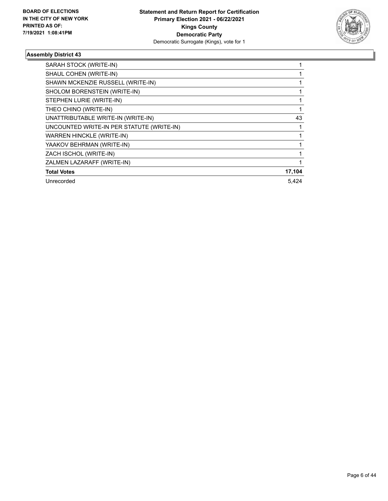

| SARAH STOCK (WRITE-IN)                    |        |
|-------------------------------------------|--------|
| SHAUL COHEN (WRITE-IN)                    |        |
| SHAWN MCKENZIE RUSSELL (WRITE-IN)         |        |
| SHOLOM BORENSTEIN (WRITE-IN)              |        |
| STEPHEN LURIE (WRITE-IN)                  |        |
| THEO CHINO (WRITE-IN)                     |        |
| UNATTRIBUTABLE WRITE-IN (WRITE-IN)        | 43     |
| UNCOUNTED WRITE-IN PER STATUTE (WRITE-IN) |        |
| <b>WARREN HINCKLE (WRITE-IN)</b>          |        |
| YAAKOV BEHRMAN (WRITE-IN)                 |        |
| ZACH ISCHOL (WRITE-IN)                    |        |
| ZALMEN LAZARAFF (WRITE-IN)                |        |
| <b>Total Votes</b>                        | 17,104 |
| Unrecorded                                | 5.424  |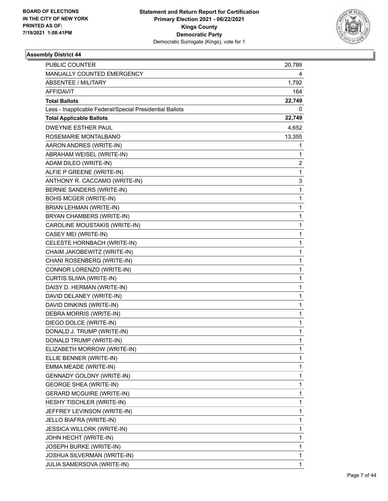

| <b>PUBLIC COUNTER</b>                                    | 20,789       |
|----------------------------------------------------------|--------------|
| MANUALLY COUNTED EMERGENCY                               | 4            |
| <b>ABSENTEE / MILITARY</b>                               | 1,792        |
| <b>AFFIDAVIT</b>                                         | 164          |
| <b>Total Ballots</b>                                     | 22,749       |
| Less - Inapplicable Federal/Special Presidential Ballots | 0            |
| <b>Total Applicable Ballots</b>                          | 22,749       |
| <b>DWEYNIE ESTHER PAUL</b>                               | 4,652        |
| ROSEMARIE MONTALBANO                                     | 13,355       |
| AARON ANDRES (WRITE-IN)                                  | 1            |
| ABRAHAM WEISEL (WRITE-IN)                                | 1            |
| ADAM DILEO (WRITE-IN)                                    | 2            |
| ALFIE P GREENE (WRITE-IN)                                | $\mathbf{1}$ |
| ANTHONY R. CACCAMO (WRITE-IN)                            | 3            |
| BERNIE SANDERS (WRITE-IN)                                | 1            |
| BOHS MCGER (WRITE-IN)                                    | $\mathbf{1}$ |
| BRIAN LEHMAN (WRITE-IN)                                  | $\mathbf{1}$ |
| BRYAN CHAMBERS (WRITE-IN)                                | 1            |
| CAROLINE MOUSTAKIS (WRITE-IN)                            | $\mathbf 1$  |
| CASEY MEI (WRITE-IN)                                     | $\mathbf{1}$ |
| CELESTE HORNBACH (WRITE-IN)                              | 1            |
| CHAIM JAKOBEWITZ (WRITE-IN)                              | $\mathbf 1$  |
| CHANI ROSENBERG (WRITE-IN)                               | $\mathbf{1}$ |
| CONNOR LORENZO (WRITE-IN)                                | 1            |
| CURTIS SLIWA (WRITE-IN)                                  | $\mathbf 1$  |
| DAISY D. HERMAN (WRITE-IN)                               | $\mathbf{1}$ |
| DAVID DELANEY (WRITE-IN)                                 | 1            |
| DAVID DINKINS (WRITE-IN)                                 | 1            |
| DEBRA MORRIS (WRITE-IN)                                  | $\mathbf{1}$ |
| DIEGO DOLCE (WRITE-IN)                                   | 1            |
| DONALD J. TRUMP (WRITE-IN)                               | $\mathbf{1}$ |
| DONALD TRUMP (WRITE-IN)                                  | 1            |
| ELIZABETH MORROW (WRITE-IN)                              | 1            |
| ELLIE BENNER (WRITE-IN)                                  | $\mathbf 1$  |
| EMMA MEADE (WRITE-IN)                                    | $\mathbf 1$  |
| <b>GENNADY GOLDNY (WRITE-IN)</b>                         | 1            |
| <b>GEORGE SHEA (WRITE-IN)</b>                            | $\mathbf 1$  |
| <b>GERARD MCGUIRE (WRITE-IN)</b>                         | $\mathbf 1$  |
| HESHY TISCHLER (WRITE-IN)                                | 1            |
| JEFFREY LEVINSON (WRITE-IN)                              | $\mathbf{1}$ |
| JELLO BIAFRA (WRITE-IN)                                  | $\mathbf 1$  |
| <b>JESSICA WILLORK (WRITE-IN)</b>                        | 1            |
| JOHN HECHT (WRITE-IN)                                    | $\mathbf 1$  |
| JOSEPH BURKE (WRITE-IN)                                  | $\mathbf 1$  |
| JOSHUA SILVERMAN (WRITE-IN)                              | 1            |
| JULIA SAMERSOVA (WRITE-IN)                               | $\mathbf{1}$ |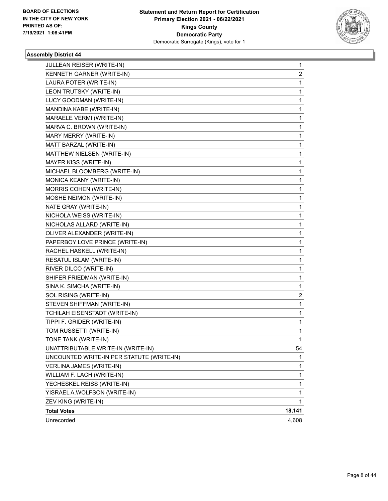

| JULLEAN REISER (WRITE-IN)                 | 1            |
|-------------------------------------------|--------------|
| KENNETH GARNER (WRITE-IN)                 | 2            |
| LAURA POTER (WRITE-IN)                    | 1            |
| LEON TRUTSKY (WRITE-IN)                   | 1            |
| LUCY GOODMAN (WRITE-IN)                   | 1            |
| MANDINA KABE (WRITE-IN)                   | 1            |
| MARAELE VERMI (WRITE-IN)                  | 1            |
| MARVA C. BROWN (WRITE-IN)                 | $\mathbf 1$  |
| MARY MERRY (WRITE-IN)                     | 1            |
| MATT BARZAL (WRITE-IN)                    | 1            |
| MATTHEW NIELSEN (WRITE-IN)                | 1            |
| MAYER KISS (WRITE-IN)                     | 1            |
| MICHAEL BLOOMBERG (WRITE-IN)              | 1            |
| MONICA KEANY (WRITE-IN)                   | $\mathbf 1$  |
| MORRIS COHEN (WRITE-IN)                   | 1            |
| MOSHE NEIMON (WRITE-IN)                   | 1            |
| NATE GRAY (WRITE-IN)                      | 1            |
| NICHOLA WEISS (WRITE-IN)                  | 1            |
| NICHOLAS ALLARD (WRITE-IN)                | 1            |
| OLIVER ALEXANDER (WRITE-IN)               | $\mathbf{1}$ |
| PAPERBOY LOVE PRINCE (WRITE-IN)           | 1            |
| RACHEL HASKELL (WRITE-IN)                 | 1            |
| RESATUL ISLAM (WRITE-IN)                  | 1            |
| RIVER DILCO (WRITE-IN)                    | 1            |
| SHIFER FRIEDMAN (WRITE-IN)                | 1            |
| SINA K. SIMCHA (WRITE-IN)                 | 1            |
| SOL RISING (WRITE-IN)                     | 2            |
| STEVEN SHIFFMAN (WRITE-IN)                | 1            |
| TCHILAH EISENSTADT (WRITE-IN)             | 1            |
| TIPPI F. GRIDER (WRITE-IN)                | 1            |
| TOM RUSSETTI (WRITE-IN)                   | 1            |
| TONE TANK (WRITE-IN)                      | $\mathbf{1}$ |
| UNATTRIBUTABLE WRITE-IN (WRITE-IN)        | 54           |
| UNCOUNTED WRITE-IN PER STATUTE (WRITE-IN) | 1            |
| VERLINA JAMES (WRITE-IN)                  | 1            |
| WILLIAM F. LACH (WRITE-IN)                | 1            |
| YECHESKEL REISS (WRITE-IN)                | 1            |
| YISRAEL A.WOLFSON (WRITE-IN)              | 1            |
| ZEV KING (WRITE-IN)                       | 1            |
| <b>Total Votes</b>                        | 18,141       |
| Unrecorded                                | 4,608        |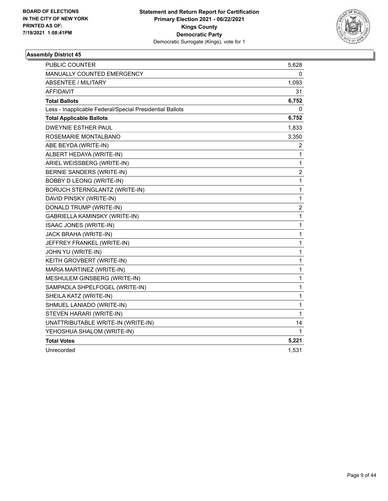

| PUBLIC COUNTER                                           | 5,628        |
|----------------------------------------------------------|--------------|
| MANUALLY COUNTED EMERGENCY                               | 0            |
| <b>ABSENTEE / MILITARY</b>                               | 1,093        |
| AFFIDAVIT                                                | 31           |
| <b>Total Ballots</b>                                     | 6,752        |
| Less - Inapplicable Federal/Special Presidential Ballots | 0            |
| <b>Total Applicable Ballots</b>                          | 6,752        |
| DWEYNIE ESTHER PAUL                                      | 1,833        |
| ROSEMARIE MONTALBANO                                     | 3,350        |
| ABE BEYDA (WRITE-IN)                                     | 2            |
| ALBERT HEDAYA (WRITE-IN)                                 | 1            |
| ARIEL WEISSBERG (WRITE-IN)                               | 1            |
| BERNIE SANDERS (WRITE-IN)                                | 2            |
| BOBBY D LEONG (WRITE-IN)                                 | 1            |
| <b>BORUCH STERNGLANTZ (WRITE-IN)</b>                     | 1            |
| DAVID PINSKY (WRITE-IN)                                  | 1            |
| DONALD TRUMP (WRITE-IN)                                  | 2            |
| GABRIELLA KAMINSKY (WRITE-IN)                            | 1            |
| ISAAC JONES (WRITE-IN)                                   | $\mathbf 1$  |
| JACK BRAHA (WRITE-IN)                                    | $\mathbf{1}$ |
| JEFFREY FRANKEL (WRITE-IN)                               | $\mathbf 1$  |
| JOHN YU (WRITE-IN)                                       | $\mathbf{1}$ |
| KEITH GROVBERT (WRITE-IN)                                | 1            |
| MARIA MARTINEZ (WRITE-IN)                                | $\mathbf 1$  |
| MESHULEM GINSBERG (WRITE-IN)                             | $\mathbf 1$  |
| SAMPADLA SHPELFOGEL (WRITE-IN)                           | $\mathbf{1}$ |
| SHEILA KATZ (WRITE-IN)                                   | $\mathbf 1$  |
| SHMUEL LANIADO (WRITE-IN)                                | 1            |
| STEVEN HARARI (WRITE-IN)                                 | $\mathbf{1}$ |
| UNATTRIBUTABLE WRITE-IN (WRITE-IN)                       | 14           |
| YEHOSHUA SHALOM (WRITE-IN)                               | 1            |
| <b>Total Votes</b>                                       | 5,221        |
| Unrecorded                                               | 1,531        |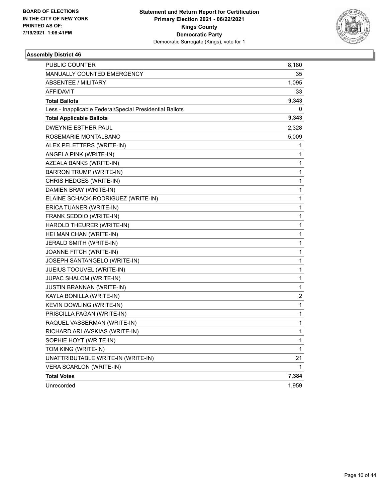

| PUBLIC COUNTER                                           | 8,180 |
|----------------------------------------------------------|-------|
| <b>MANUALLY COUNTED EMERGENCY</b>                        | 35    |
| <b>ABSENTEE / MILITARY</b>                               | 1,095 |
| <b>AFFIDAVIT</b>                                         | 33    |
| <b>Total Ballots</b>                                     | 9,343 |
| Less - Inapplicable Federal/Special Presidential Ballots | 0     |
| <b>Total Applicable Ballots</b>                          | 9,343 |
| <b>DWEYNIE ESTHER PAUL</b>                               | 2,328 |
| ROSEMARIE MONTALBANO                                     | 5,009 |
| ALEX PELETTERS (WRITE-IN)                                | 1     |
| ANGELA PINK (WRITE-IN)                                   | 1     |
| AZEALA BANKS (WRITE-IN)                                  | 1     |
| BARRON TRUMP (WRITE-IN)                                  | 1     |
| CHRIS HEDGES (WRITE-IN)                                  | 1     |
| DAMIEN BRAY (WRITE-IN)                                   | 1     |
| ELAINE SCHACK-RODRIGUEZ (WRITE-IN)                       | 1     |
| ERICA TUANER (WRITE-IN)                                  | 1     |
| FRANK SEDDIO (WRITE-IN)                                  | 1     |
| HAROLD THEURER (WRITE-IN)                                | 1     |
| HEI MAN CHAN (WRITE-IN)                                  | 1     |
| JERALD SMITH (WRITE-IN)                                  | 1     |
| JOANNE FITCH (WRITE-IN)                                  | 1     |
| JOSEPH SANTANGELO (WRITE-IN)                             | 1     |
| JUEIUS TOOUVEL (WRITE-IN)                                | 1     |
| JUPAC SHALOM (WRITE-IN)                                  | 1     |
| JUSTIN BRANNAN (WRITE-IN)                                | 1     |
| KAYLA BONILLA (WRITE-IN)                                 | 2     |
| KEVIN DOWLING (WRITE-IN)                                 | 1     |
| PRISCILLA PAGAN (WRITE-IN)                               | 1     |
| RAQUEL VASSERMAN (WRITE-IN)                              | 1     |
| RICHARD ARLAVSKIAS (WRITE-IN)                            | 1     |
| SOPHIE HOYT (WRITE-IN)                                   | 1     |
| TOM KING (WRITE-IN)                                      | 1     |
| UNATTRIBUTABLE WRITE-IN (WRITE-IN)                       | 21    |
| VERA SCARLON (WRITE-IN)                                  | 1     |
| <b>Total Votes</b>                                       | 7,384 |
| Unrecorded                                               | 1,959 |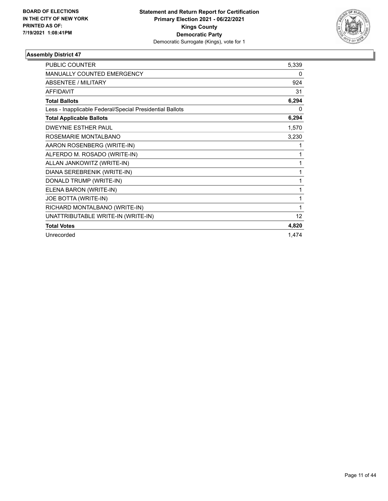

| <b>PUBLIC COUNTER</b>                                    | 5,339 |
|----------------------------------------------------------|-------|
| MANUALLY COUNTED EMERGENCY                               | 0     |
| <b>ABSENTEE / MILITARY</b>                               | 924   |
| <b>AFFIDAVIT</b>                                         | 31    |
| <b>Total Ballots</b>                                     | 6,294 |
| Less - Inapplicable Federal/Special Presidential Ballots | 0     |
| <b>Total Applicable Ballots</b>                          | 6,294 |
| <b>DWEYNIE ESTHER PAUL</b>                               | 1,570 |
| ROSEMARIE MONTALBANO                                     | 3,230 |
| AARON ROSENBERG (WRITE-IN)                               | 1     |
| ALFERDO M. ROSADO (WRITE-IN)                             | 1     |
| ALLAN JANKOWITZ (WRITE-IN)                               | 1     |
| DIANA SEREBRENIK (WRITE-IN)                              | 1     |
| DONALD TRUMP (WRITE-IN)                                  | 1     |
| ELENA BARON (WRITE-IN)                                   | 1     |
| JOE BOTTA (WRITE-IN)                                     | 1     |
| RICHARD MONTALBANO (WRITE-IN)                            | 1     |
| UNATTRIBUTABLE WRITE-IN (WRITE-IN)                       | 12    |
| <b>Total Votes</b>                                       | 4,820 |
| Unrecorded                                               | 1.474 |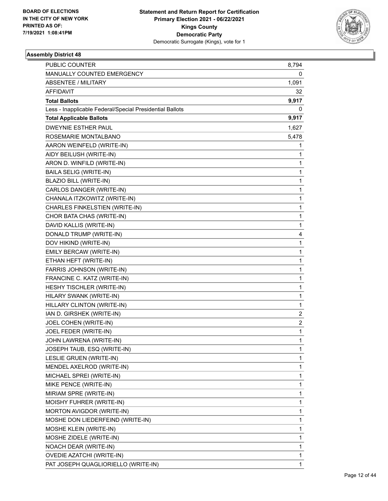

| PUBLIC COUNTER                                           | 8,794                   |
|----------------------------------------------------------|-------------------------|
| MANUALLY COUNTED EMERGENCY                               | 0                       |
| <b>ABSENTEE / MILITARY</b>                               | 1,091                   |
| <b>AFFIDAVIT</b>                                         | 32                      |
| <b>Total Ballots</b>                                     | 9,917                   |
| Less - Inapplicable Federal/Special Presidential Ballots | 0                       |
| <b>Total Applicable Ballots</b>                          | 9,917                   |
| <b>DWEYNIE ESTHER PAUL</b>                               | 1,627                   |
| ROSEMARIE MONTALBANO                                     | 5,478                   |
| AARON WEINFELD (WRITE-IN)                                | 1                       |
| AIDY BEILUSH (WRITE-IN)                                  | 1                       |
| ARON D. WINFILD (WRITE-IN)                               | 1                       |
| <b>BAILA SELIG (WRITE-IN)</b>                            | $\mathbf 1$             |
| BLAZIO BILL (WRITE-IN)                                   | 1                       |
| CARLOS DANGER (WRITE-IN)                                 | $\mathbf{1}$            |
| CHANALA ITZKOWITZ (WRITE-IN)                             | $\mathbf 1$             |
| CHARLES FINKELSTIEN (WRITE-IN)                           | 1                       |
| CHOR BATA CHAS (WRITE-IN)                                | $\mathbf{1}$            |
| DAVID KALLIS (WRITE-IN)                                  | $\mathbf 1$             |
| DONALD TRUMP (WRITE-IN)                                  | 4                       |
| DOV HIKIND (WRITE-IN)                                    | $\mathbf 1$             |
| EMILY BERCAW (WRITE-IN)                                  | $\mathbf 1$             |
| ETHAN HEFT (WRITE-IN)                                    | 1                       |
| FARRIS JOHNSON (WRITE-IN)                                | $\mathbf{1}$            |
| FRANCINE C. KATZ (WRITE-IN)                              | $\mathbf 1$             |
| HESHY TISCHLER (WRITE-IN)                                | 1                       |
| HILARY SWANK (WRITE-IN)                                  | $\mathbf{1}$            |
| HILLARY CLINTON (WRITE-IN)                               | 1                       |
| IAN D. GIRSHEK (WRITE-IN)                                | 2                       |
| JOEL COHEN (WRITE-IN)                                    | $\overline{\mathbf{c}}$ |
| JOEL FEDER (WRITE-IN)                                    | $\mathbf{1}$            |
| JOHN LAWRENA (WRITE-IN)                                  | 1                       |
| JOSEPH TAUB, ESQ (WRITE-IN)                              | 1                       |
| LESLIE GRUEN (WRITE-IN)                                  | 1                       |
| MENDEL AXELROD (WRITE-IN)                                | 1                       |
| MICHAEL SPREI (WRITE-IN)                                 | 1                       |
| MIKE PENCE (WRITE-IN)                                    | 1                       |
| MIRIAM SPRE (WRITE-IN)                                   | 1                       |
| MOISHY FUHRER (WRITE-IN)                                 | 1                       |
| MORTON AVIGDOR (WRITE-IN)                                | 1                       |
| MOSHE DON LIEDERFEIND (WRITE-IN)                         | 1                       |
| <b>MOSHE KLEIN (WRITE-IN)</b>                            | 1                       |
| MOSHE ZIDELE (WRITE-IN)                                  | 1                       |
| NOACH DEAR (WRITE-IN)                                    | 1                       |
| <b>OVEDIE AZATCHI (WRITE-IN)</b>                         | 1                       |
| PAT JOSEPH QUAGLIORIELLO (WRITE-IN)                      | 1                       |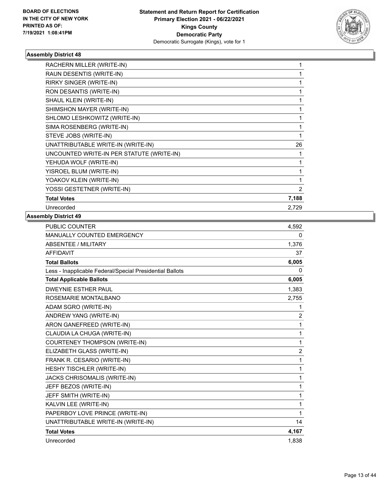

| 1     |
|-------|
| 1     |
|       |
|       |
|       |
| 26    |
|       |
| 1     |
|       |
|       |
| 2     |
| 7,188 |
| 2,729 |
|       |

| <b>PUBLIC COUNTER</b>                                    | 4,592          |
|----------------------------------------------------------|----------------|
| MANUALLY COUNTED EMERGENCY                               | 0              |
| <b>ABSENTEE / MILITARY</b>                               | 1,376          |
| <b>AFFIDAVIT</b>                                         | 37             |
| <b>Total Ballots</b>                                     | 6,005          |
| Less - Inapplicable Federal/Special Presidential Ballots | 0              |
| <b>Total Applicable Ballots</b>                          | 6,005          |
| <b>DWEYNIF ESTHER PAUL</b>                               | 1,383          |
| ROSEMARIE MONTALBANO                                     | 2,755          |
| ADAM SGRO (WRITE-IN)                                     | 1              |
| ANDREW YANG (WRITE-IN)                                   | 2              |
| ARON GANEFREED (WRITE-IN)                                | 1              |
| CLAUDIA LA CHUGA (WRITE-IN)                              | 1              |
| COURTENEY THOMPSON (WRITE-IN)                            | 1              |
| ELIZABETH GLASS (WRITE-IN)                               | $\overline{c}$ |
| FRANK R. CESARIO (WRITE-IN)                              | 1              |
| HESHY TISCHLER (WRITE-IN)                                | 1              |
| JACKS CHRISOMALIS (WRITE-IN)                             | 1              |
| JEFF BEZOS (WRITE-IN)                                    | 1              |
| JEFF SMITH (WRITE-IN)                                    | 1              |
| KALVIN LEE (WRITE-IN)                                    | 1              |
| PAPERBOY LOVE PRINCE (WRITE-IN)                          | 1              |
| UNATTRIBUTABLE WRITE-IN (WRITE-IN)                       | 14             |
| <b>Total Votes</b>                                       | 4,167          |
| Unrecorded                                               | 1.838          |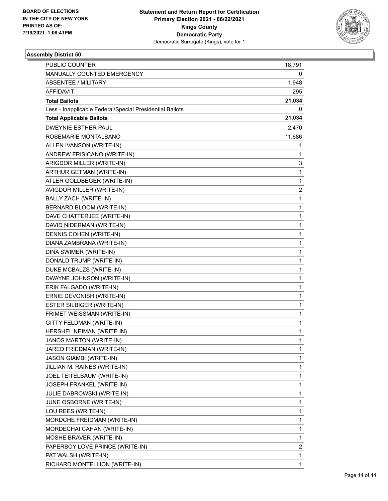

| PUBLIC COUNTER                                           | 18,791                  |
|----------------------------------------------------------|-------------------------|
| MANUALLY COUNTED EMERGENCY                               | 0                       |
| <b>ABSENTEE / MILITARY</b>                               | 1,948                   |
| <b>AFFIDAVIT</b>                                         | 295                     |
| <b>Total Ballots</b>                                     | 21,034                  |
| Less - Inapplicable Federal/Special Presidential Ballots | 0                       |
| <b>Total Applicable Ballots</b>                          | 21,034                  |
| <b>DWEYNIE ESTHER PAUL</b>                               | 2,470                   |
| ROSEMARIE MONTALBANO                                     | 11,686                  |
| ALLEN IVANSON (WRITE-IN)                                 | 1                       |
| ANDREW FRISICANO (WRITE-IN)                              | 1                       |
| ARIGDOR MILLER (WRITE-IN)                                | 3                       |
| ARTHUR GETMAN (WRITE-IN)                                 | $\mathbf 1$             |
| ATLER GOLDBEGER (WRITE-IN)                               | 1                       |
| AVIGDOR MILLER (WRITE-IN)                                | $\overline{\mathbf{c}}$ |
| BALLY ZACH (WRITE-IN)                                    | $\mathbf 1$             |
| BERNARD BLOOM (WRITE-IN)                                 | 1                       |
| DAVE CHATTERJEE (WRITE-IN)                               | $\mathbf 1$             |
| DAVID NIDERMAN (WRITE-IN)                                | $\mathbf 1$             |
| DENNIS COHEN (WRITE-IN)                                  | 1                       |
| DIANA ZAMBRANA (WRITE-IN)                                | $\mathbf{1}$            |
| DINA SWIMER (WRITE-IN)                                   | $\mathbf{1}$            |
| DONALD TRUMP (WRITE-IN)                                  | 1                       |
| DUKE MCBALZS (WRITE-IN)                                  | $\mathbf{1}$            |
| DWAYNE JOHNSON (WRITE-IN)                                | $\mathbf{1}$            |
| ERIK FALGADO (WRITE-IN)                                  | 1                       |
| ERNIE DEVONISH (WRITE-IN)                                | $\mathbf{1}$            |
| ESTER SILBIGER (WRITE-IN)                                | 1                       |
| FRIMET WEISSMAN (WRITE-IN)                               | 1                       |
| GITTY FELDMAN (WRITE-IN)                                 | 1                       |
| HERSHEL NEIMAN (WRITE-IN)                                | $\mathbf{1}$            |
| JANOS MARTON (WRITE-IN)                                  | 1                       |
| JARED FRIEDMAN (WRITE-IN)                                | 1                       |
| JASON GIAMBI (WRITE-IN)                                  | 1                       |
| JILLIAN M. RAINES (WRITE-IN)                             | 1                       |
| JOEL TEITELBAUM (WRITE-IN)                               | 1                       |
| JOSEPH FRANKEL (WRITE-IN)                                | 1                       |
| <b>JULIE DABROWSKI (WRITE-IN)</b>                        | 1                       |
| JUNE OSBORNE (WRITE-IN)                                  | 1                       |
| LOU REES (WRITE-IN)                                      | 1                       |
| MORDCHE FREIDMAN (WRITE-IN)                              | 1                       |
| MORDECHAI CAHAN (WRITE-IN)                               | 1                       |
| MOSHE BRAVER (WRITE-IN)                                  | 1                       |
| PAPERBOY LOVE PRINCE (WRITE-IN)                          | 2                       |
| PAT WALSH (WRITE-IN)                                     | 1                       |
| RICHARD MONTELLION (WRITE-IN)                            | 1                       |
|                                                          |                         |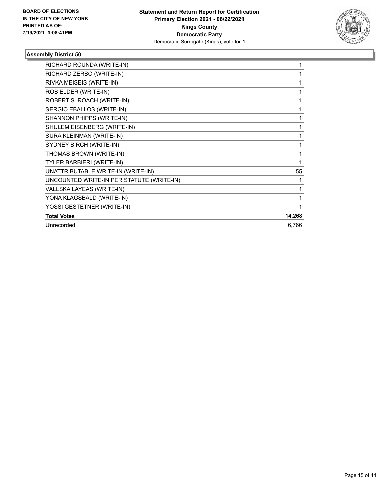

| RICHARD ROUNDA (WRITE-IN)                 | 1      |
|-------------------------------------------|--------|
| RICHARD ZERBO (WRITE-IN)                  | 1      |
| RIVKA MEISEIS (WRITE-IN)                  | 1      |
| ROB ELDER (WRITE-IN)                      | 1      |
| ROBERT S. ROACH (WRITE-IN)                | 1      |
| SERGIO EBALLOS (WRITE-IN)                 | 1      |
| SHANNON PHIPPS (WRITE-IN)                 | 1      |
| SHULEM EISENBERG (WRITE-IN)               | 1      |
| SURA KLEINMAN (WRITE-IN)                  | 1      |
| SYDNEY BIRCH (WRITE-IN)                   | 1      |
| THOMAS BROWN (WRITE-IN)                   | 1      |
| TYLER BARBIERI (WRITE-IN)                 | 1      |
| UNATTRIBUTABLE WRITE-IN (WRITE-IN)        | 55     |
| UNCOUNTED WRITE-IN PER STATUTE (WRITE-IN) | 1      |
| VALLSKA LAYEAS (WRITE-IN)                 | 1      |
| YONA KLAGSBALD (WRITE-IN)                 | 1      |
| YOSSI GESTETNER (WRITE-IN)                | 1      |
| <b>Total Votes</b>                        | 14,268 |
| Unrecorded                                | 6,766  |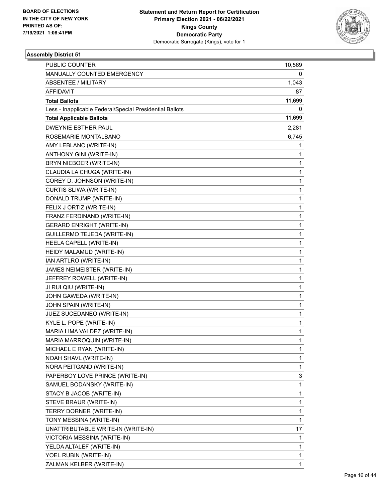

| PUBLIC COUNTER                                           | 10,569       |
|----------------------------------------------------------|--------------|
| MANUALLY COUNTED EMERGENCY                               | 0            |
| <b>ABSENTEE / MILITARY</b>                               | 1,043        |
| AFFIDAVIT                                                | 87           |
| <b>Total Ballots</b>                                     | 11,699       |
| Less - Inapplicable Federal/Special Presidential Ballots | 0            |
| <b>Total Applicable Ballots</b>                          | 11,699       |
| <b>DWEYNIE ESTHER PAUL</b>                               | 2,281        |
| ROSEMARIE MONTALBANO                                     | 6,745        |
| AMY LEBLANC (WRITE-IN)                                   | 1            |
| ANTHONY GINI (WRITE-IN)                                  | 1            |
| BRYN NIEBOER (WRITE-IN)                                  | 1            |
| CLAUDIA LA CHUGA (WRITE-IN)                              | 1            |
| COREY D. JOHNSON (WRITE-IN)                              | $\mathbf{1}$ |
| CURTIS SLIWA (WRITE-IN)                                  | 1            |
| DONALD TRUMP (WRITE-IN)                                  | $\mathbf 1$  |
| FELIX J ORTIZ (WRITE-IN)                                 | 1            |
| FRANZ FERDINAND (WRITE-IN)                               | 1            |
| <b>GERARD ENRIGHT (WRITE-IN)</b>                         | $\mathbf{1}$ |
| GUILLERMO TEJEDA (WRITE-IN)                              | $\mathbf{1}$ |
| HEELA CAPELL (WRITE-IN)                                  | 1            |
| HEIDY MALAMUD (WRITE-IN)                                 | $\mathbf 1$  |
| IAN ARTLRO (WRITE-IN)                                    | 1            |
| JAMES NEIMEISTER (WRITE-IN)                              | 1            |
| JEFFREY ROWELL (WRITE-IN)                                | $\mathbf{1}$ |
| JI RUI QIU (WRITE-IN)                                    | $\mathbf{1}$ |
| JOHN GAWEDA (WRITE-IN)                                   | 1            |
| JOHN SPAIN (WRITE-IN)                                    | $\mathbf 1$  |
| JUEZ SUCEDANEO (WRITE-IN)                                | 1            |
| KYLE L. POPE (WRITE-IN)                                  | 1            |
| MARIA LIMA VALDEZ (WRITE-IN)                             | 1            |
| MARIA MARROQUIN (WRITE-IN)                               | $\mathbf{1}$ |
| MICHAEL E RYAN (WRITE-IN)                                | 1            |
| NOAH SHAVL (WRITE-IN)                                    | 1            |
| NORA PEITGAND (WRITE-IN)                                 | 1            |
| PAPERBOY LOVE PRINCE (WRITE-IN)                          | 3            |
| SAMUEL BODANSKY (WRITE-IN)                               | 1            |
| STACY B JACOB (WRITE-IN)                                 | 1            |
| STEVE BRAUR (WRITE-IN)                                   | 1            |
| TERRY DORNER (WRITE-IN)                                  | 1            |
| TONY MESSINA (WRITE-IN)                                  | 1            |
| UNATTRIBUTABLE WRITE-IN (WRITE-IN)                       | 17           |
| VICTORIA MESSINA (WRITE-IN)                              | 1            |
| YELDA ALTALEF (WRITE-IN)                                 | 1            |
| YOEL RUBIN (WRITE-IN)                                    | 1            |
| ZALMAN KELBER (WRITE-IN)                                 | 1            |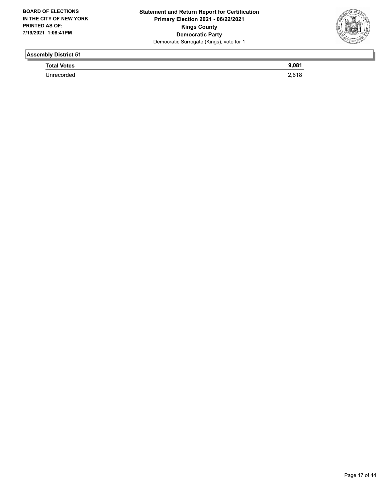

**Total Votes** 9,081

Unrecorded 2,618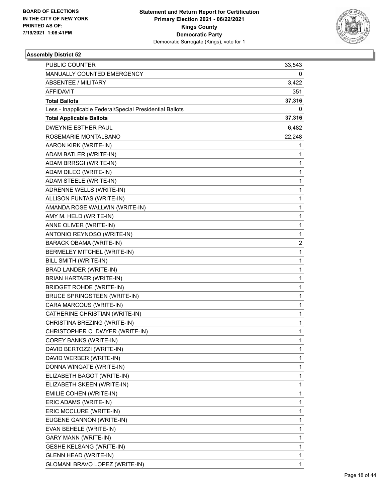

| PUBLIC COUNTER                                           | 33,543       |
|----------------------------------------------------------|--------------|
| MANUALLY COUNTED EMERGENCY                               | 0            |
| <b>ABSENTEE / MILITARY</b>                               | 3,422        |
| <b>AFFIDAVIT</b>                                         | 351          |
| <b>Total Ballots</b>                                     | 37,316       |
| Less - Inapplicable Federal/Special Presidential Ballots | 0            |
| <b>Total Applicable Ballots</b>                          | 37,316       |
| DWEYNIE ESTHER PAUL                                      | 6,482        |
| ROSEMARIE MONTALBANO                                     | 22,248       |
| AARON KIRK (WRITE-IN)                                    | 1            |
| ADAM BATLER (WRITE-IN)                                   | 1            |
| ADAM BRRSGI (WRITE-IN)                                   | 1            |
| ADAM DILEO (WRITE-IN)                                    | 1            |
| ADAM STEELE (WRITE-IN)                                   | 1            |
| ADRENNE WELLS (WRITE-IN)                                 | $\mathbf{1}$ |
| ALLISON FUNTAS (WRITE-IN)                                | 1            |
| AMANDA ROSE WALLWIN (WRITE-IN)                           | 1            |
| AMY M. HELD (WRITE-IN)                                   | 1            |
| ANNE OLIVER (WRITE-IN)                                   | 1            |
| ANTONIO REYNOSO (WRITE-IN)                               | 1            |
| <b>BARACK OBAMA (WRITE-IN)</b>                           | 2            |
| BERMELEY MITCHEL (WRITE-IN)                              | 1            |
| BILL SMITH (WRITE-IN)                                    | 1            |
| BRAD LANDER (WRITE-IN)                                   | 1            |
| BRIAN HARTAER (WRITE-IN)                                 | 1            |
| <b>BRIDGET ROHDE (WRITE-IN)</b>                          | 1            |
| <b>BRUCE SPRINGSTEEN (WRITE-IN)</b>                      | $\mathbf{1}$ |
| CARA MARCOUS (WRITE-IN)                                  | 1            |
| CATHERINE CHRISTIAN (WRITE-IN)                           | 1            |
| CHRISTINA BREZING (WRITE-IN)                             | 1            |
| CHRISTOPHER C. DWYER (WRITE-IN)                          | 1            |
| COREY BANKS (WRITE-IN)                                   | 1            |
| DAVID BERTOZZI (WRITE-IN)                                | 1            |
| DAVID WERBER (WRITE-IN)                                  | 1            |
| DONNA WINGATE (WRITE-IN)                                 | 1            |
| ELIZABETH BAGOT (WRITE-IN)                               | 1            |
| ELIZABETH SKEEN (WRITE-IN)                               | 1            |
| EMILIE COHEN (WRITE-IN)                                  | 1            |
| ERIC ADAMS (WRITE-IN)                                    | 1            |
| ERIC MCCLURE (WRITE-IN)                                  | 1            |
| EUGENE GANNON (WRITE-IN)                                 | 1            |
| EVAN BEHELE (WRITE-IN)                                   | 1            |
| <b>GARY MANN (WRITE-IN)</b>                              | 1            |
| <b>GESHE KELSANG (WRITE-IN)</b>                          | 1            |
| <b>GLENN HEAD (WRITE-IN)</b>                             | 1            |
| GLOMANI BRAVO LOPEZ (WRITE-IN)                           | 1            |
|                                                          |              |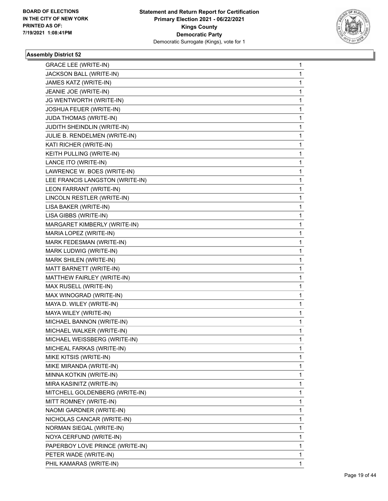

| <b>GRACE LEE (WRITE-IN)</b>     | 1            |
|---------------------------------|--------------|
| JACKSON BALL (WRITE-IN)         | $\mathbf 1$  |
| JAMES KATZ (WRITE-IN)           | 1            |
| JEANIE JOE (WRITE-IN)           | 1            |
| JG WENTWORTH (WRITE-IN)         | 1            |
| JOSHUA FEUER (WRITE-IN)         | 1            |
| JUDA THOMAS (WRITE-IN)          | 1            |
| JUDITH SHEINDLIN (WRITE-IN)     | 1            |
| JULIE B. RENDELMEN (WRITE-IN)   | 1            |
| KATI RICHER (WRITE-IN)          | 1            |
| KEITH PULLING (WRITE-IN)        | 1            |
| LANCE ITO (WRITE-IN)            | 1            |
| LAWRENCE W. BOES (WRITE-IN)     | 1            |
| LEE FRANCIS LANGSTON (WRITE-IN) | 1            |
| LEON FARRANT (WRITE-IN)         | 1            |
| LINCOLN RESTLER (WRITE-IN)      | 1            |
| LISA BAKER (WRITE-IN)           | 1            |
| LISA GIBBS (WRITE-IN)           | 1            |
| MARGARET KIMBERLY (WRITE-IN)    | 1            |
| MARIA LOPEZ (WRITE-IN)          | 1            |
| MARK FEDESMAN (WRITE-IN)        | 1            |
| MARK LUDWIG (WRITE-IN)          | 1            |
| MARK SHILEN (WRITE-IN)          | 1            |
| MATT BARNETT (WRITE-IN)         | 1            |
| MATTHEW FAIRLEY (WRITE-IN)      | 1            |
| MAX RUSELL (WRITE-IN)           | 1            |
| MAX WINOGRAD (WRITE-IN)         | 1            |
| MAYA D. WILEY (WRITE-IN)        | 1            |
| MAYA WILEY (WRITE-IN)           | 1            |
| MICHAEL BANNON (WRITE-IN)       | 1            |
| MICHAEL WALKER (WRITE-IN)       | 1            |
| MICHAEL WEISSBERG (WRITE-IN)    | $\mathbf{1}$ |
| MICHEAL FARKAS (WRITE-IN)       | 1            |
| MIKE KITSIS (WRITE-IN)          | 1            |
| MIKE MIRANDA (WRITE-IN)         | 1            |
| MINNA KOTKIN (WRITE-IN)         | 1            |
| MIRA KASINITZ (WRITE-IN)        | 1            |
| MITCHELL GOLDENBERG (WRITE-IN)  | 1            |
| MITT ROMNEY (WRITE-IN)          | 1            |
| NAOMI GARDNER (WRITE-IN)        | 1            |
| NICHOLAS CANCAR (WRITE-IN)      | 1            |
| NORMAN SIEGAL (WRITE-IN)        | 1            |
| NOYA CERFUND (WRITE-IN)         | 1            |
| PAPERBOY LOVE PRINCE (WRITE-IN) | 1            |
| PETER WADE (WRITE-IN)           | 1            |
| PHIL KAMARAS (WRITE-IN)         | 1            |
|                                 |              |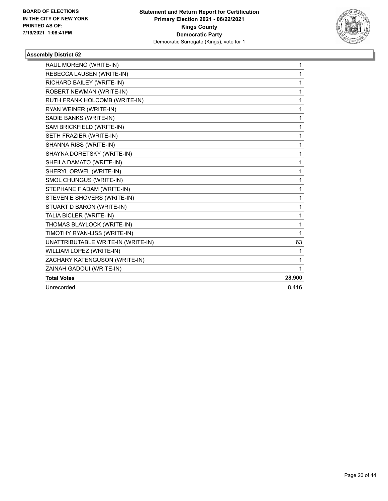

| RAUL MORENO (WRITE-IN)             | 1      |
|------------------------------------|--------|
| REBECCA LAUSEN (WRITE-IN)          | 1      |
| RICHARD BAILEY (WRITE-IN)          | 1      |
| ROBERT NEWMAN (WRITE-IN)           | 1      |
| RUTH FRANK HOLCOMB (WRITE-IN)      | 1      |
| RYAN WEINER (WRITE-IN)             | 1      |
| SADIE BANKS (WRITE-IN)             | 1      |
| SAM BRICKFIELD (WRITE-IN)          | 1      |
| SETH FRAZIER (WRITE-IN)            | 1      |
| SHANNA RISS (WRITE-IN)             | 1      |
| SHAYNA DORETSKY (WRITE-IN)         | 1      |
| SHEILA DAMATO (WRITE-IN)           | 1      |
| SHERYL ORWEL (WRITE-IN)            | 1      |
| SMOL CHUNGUS (WRITE-IN)            | 1      |
| STEPHANE F ADAM (WRITE-IN)         | 1      |
| STEVEN E SHOVERS (WRITE-IN)        | 1      |
| STUART D BARON (WRITE-IN)          | 1      |
| TALIA BICLER (WRITE-IN)            | 1      |
| THOMAS BLAYLOCK (WRITE-IN)         | 1      |
| TIMOTHY RYAN-LISS (WRITE-IN)       | 1      |
| UNATTRIBUTABLE WRITE-IN (WRITE-IN) | 63     |
| WILLIAM LOPEZ (WRITE-IN)           | 1      |
| ZACHARY KATENGUSON (WRITE-IN)      | 1      |
| ZAINAH GADOUI (WRITE-IN)           | 1      |
| <b>Total Votes</b>                 | 28,900 |
| Unrecorded                         | 8,416  |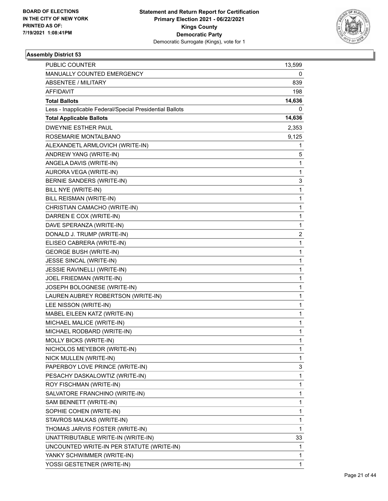

| PUBLIC COUNTER                                           | 13,599       |
|----------------------------------------------------------|--------------|
| MANUALLY COUNTED EMERGENCY                               | 0            |
| <b>ABSENTEE / MILITARY</b>                               | 839          |
| AFFIDAVIT                                                | 198          |
| <b>Total Ballots</b>                                     | 14,636       |
| Less - Inapplicable Federal/Special Presidential Ballots | 0            |
| <b>Total Applicable Ballots</b>                          | 14,636       |
| <b>DWEYNIE ESTHER PAUL</b>                               | 2,353        |
| ROSEMARIE MONTALBANO                                     | 9,125        |
| ALEXANDETL ARMLOVICH (WRITE-IN)                          | 1            |
| ANDREW YANG (WRITE-IN)                                   | 5            |
| ANGELA DAVIS (WRITE-IN)                                  | 1            |
| AURORA VEGA (WRITE-IN)                                   | 1            |
| BERNIE SANDERS (WRITE-IN)                                | 3            |
| BILL NYE (WRITE-IN)                                      | 1            |
| BILL REISMAN (WRITE-IN)                                  | $\mathbf 1$  |
| CHRISTIAN CAMACHO (WRITE-IN)                             | 1            |
| DARREN E COX (WRITE-IN)                                  | 1            |
| DAVE SPERANZA (WRITE-IN)                                 | 1            |
| DONALD J. TRUMP (WRITE-IN)                               | 2            |
| ELISEO CABRERA (WRITE-IN)                                | 1            |
| <b>GEORGE BUSH (WRITE-IN)</b>                            | 1            |
| JESSE SINCAL (WRITE-IN)                                  | 1            |
| JESSIE RAVINELLI (WRITE-IN)                              | 1            |
| JOEL FRIEDMAN (WRITE-IN)                                 | $\mathbf{1}$ |
| JOSEPH BOLOGNESE (WRITE-IN)                              | 1            |
| LAUREN AUBREY ROBERTSON (WRITE-IN)                       | $\mathbf{1}$ |
| LEE NISSON (WRITE-IN)                                    | 1            |
| MABEL EILEEN KATZ (WRITE-IN)                             | 1            |
| MICHAEL MALICE (WRITE-IN)                                | 1            |
| MICHAEL RODBARD (WRITE-IN)                               | 1            |
| MOLLY BICKS (WRITE-IN)                                   | 1            |
| NICHOLOS MEYEBOR (WRITE-IN)                              | 1            |
| NICK MULLEN (WRITE-IN)                                   | 1            |
| PAPERBOY LOVE PRINCE (WRITE-IN)                          | 3            |
| PESACHY DASKALOWTIZ (WRITE-IN)                           | 1            |
| ROY FISCHMAN (WRITE-IN)                                  | 1            |
| SALVATORE FRANCHINO (WRITE-IN)                           | 1            |
| SAM BENNETT (WRITE-IN)                                   | 1            |
| SOPHIE COHEN (WRITE-IN)                                  | 1            |
| STAVROS MALKAS (WRITE-IN)                                | 1            |
| THOMAS JARVIS FOSTER (WRITE-IN)                          | 1            |
| UNATTRIBUTABLE WRITE-IN (WRITE-IN)                       | 33           |
| UNCOUNTED WRITE-IN PER STATUTE (WRITE-IN)                | 1            |
| YANKY SCHWIMMER (WRITE-IN)                               | 1            |
| YOSSI GESTETNER (WRITE-IN)                               | 1            |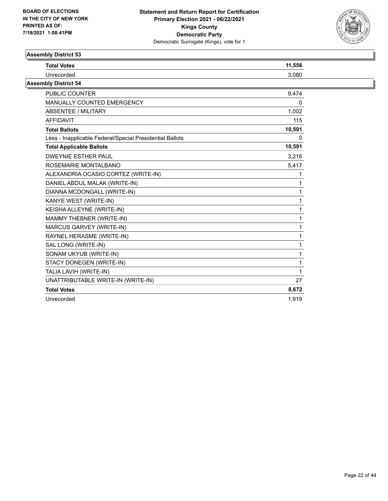

| <b>Total Votes</b>                                       | 11,556 |
|----------------------------------------------------------|--------|
| Unrecorded                                               | 3,080  |
| <b>Assembly District 54</b>                              |        |
| <b>PUBLIC COUNTER</b>                                    | 9,474  |
| MANUALLY COUNTED EMERGENCY                               | 0      |
| ABSENTEE / MILITARY                                      | 1,002  |
| <b>AFFIDAVIT</b>                                         | 115    |
| <b>Total Ballots</b>                                     | 10,591 |
| Less - Inapplicable Federal/Special Presidential Ballots | 0      |
| <b>Total Applicable Ballots</b>                          | 10,591 |
| <b>DWEYNIE ESTHER PAUL</b>                               | 3,216  |
| ROSEMARIE MONTALBANO                                     | 5,417  |
| ALEXANDRIA OCASIO CORTEZ (WRITE-IN)                      |        |
| DANIEL ABDUL MALAK (WRITE-IN)                            |        |
| DIANNA MCDONGALL (WRITE-IN)                              |        |
| KANYE WEST (WRITE-IN)                                    |        |
| KEISHA ALLEYNE (WRITE-IN)                                |        |
| MAMMY THEBNER (WRITE-IN)                                 |        |
| MARCUS GARVEY (WRITE-IN)                                 |        |
| RAYNEL HERASME (WRITE-IN)                                |        |
| SAL LONG (WRITE-IN)                                      |        |
| SONAM UKYUB (WRITE-IN)                                   |        |
| STACY DONEGEN (WRITE-IN)                                 |        |
| TALIA LAVIH (WRITE-IN)                                   |        |
| UNATTRIBUTABLE WRITE-IN (WRITE-IN)                       | 27     |
| <b>Total Votes</b>                                       | 8,672  |
| Unrecorded                                               | 1.919  |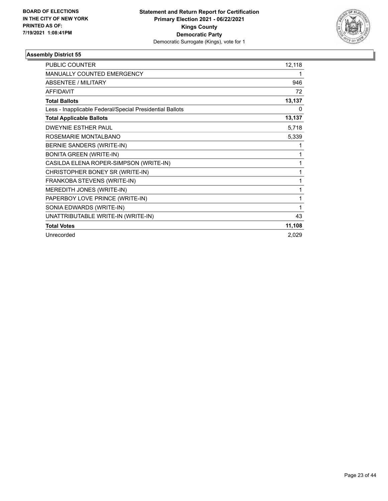

| <b>PUBLIC COUNTER</b>                                    | 12,118 |
|----------------------------------------------------------|--------|
| <b>MANUALLY COUNTED EMERGENCY</b>                        | 1      |
| <b>ABSENTEE / MILITARY</b>                               | 946    |
| <b>AFFIDAVIT</b>                                         | 72     |
| <b>Total Ballots</b>                                     | 13,137 |
| Less - Inapplicable Federal/Special Presidential Ballots | 0      |
| <b>Total Applicable Ballots</b>                          | 13,137 |
| <b>DWEYNIE ESTHER PAUL</b>                               | 5,718  |
| ROSEMARIE MONTALBANO                                     | 5,339  |
| BERNIE SANDERS (WRITE-IN)                                | 1      |
| <b>BONITA GREEN (WRITE-IN)</b>                           | 1      |
| CASILDA ELENA ROPER-SIMPSON (WRITE-IN)                   | 1      |
| CHRISTOPHER BONEY SR (WRITE-IN)                          | 1      |
| FRANKOBA STEVENS (WRITE-IN)                              | 1      |
| MEREDITH JONES (WRITE-IN)                                | 1      |
| PAPERBOY LOVE PRINCE (WRITE-IN)                          | 1      |
| SONIA EDWARDS (WRITE-IN)                                 | 1      |
| UNATTRIBUTABLE WRITE-IN (WRITE-IN)                       | 43     |
| <b>Total Votes</b>                                       | 11,108 |
| Unrecorded                                               | 2,029  |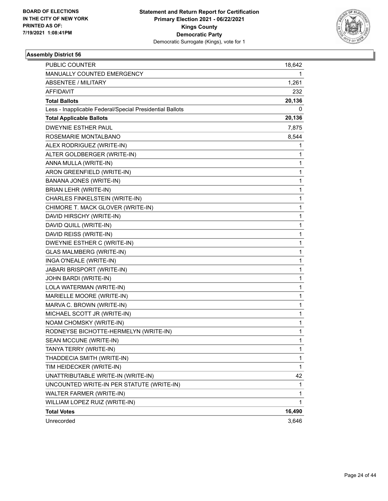

| PUBLIC COUNTER                                           | 18,642       |
|----------------------------------------------------------|--------------|
| MANUALLY COUNTED EMERGENCY                               | 1            |
| <b>ABSENTEE / MILITARY</b>                               | 1,261        |
| AFFIDAVIT                                                | 232          |
| <b>Total Ballots</b>                                     | 20,136       |
| Less - Inapplicable Federal/Special Presidential Ballots | 0            |
| <b>Total Applicable Ballots</b>                          | 20,136       |
| <b>DWEYNIE ESTHER PAUL</b>                               | 7,875        |
| ROSEMARIE MONTALBANO                                     | 8,544        |
| ALEX RODRIGUEZ (WRITE-IN)                                | 1            |
| ALTER GOLDBERGER (WRITE-IN)                              | 1            |
| ANNA MULLA (WRITE-IN)                                    | 1            |
| ARON GREENFIELD (WRITE-IN)                               | 1            |
| <b>BANANA JONES (WRITE-IN)</b>                           | $\mathbf{1}$ |
| <b>BRIAN LEHR (WRITE-IN)</b>                             | 1            |
| CHARLES FINKELSTEIN (WRITE-IN)                           | $\mathbf{1}$ |
| CHIMORE T. MACK GLOVER (WRITE-IN)                        | 1            |
| DAVID HIRSCHY (WRITE-IN)                                 | 1            |
| DAVID QUILL (WRITE-IN)                                   | $\mathbf{1}$ |
| DAVID REISS (WRITE-IN)                                   | $\mathbf{1}$ |
| DWEYNIE ESTHER C (WRITE-IN)                              | 1            |
| <b>GLAS MALMBERG (WRITE-IN)</b>                          | $\mathbf{1}$ |
| INGA O'NEALE (WRITE-IN)                                  | 1            |
| JABARI BRISPORT (WRITE-IN)                               | 1            |
| JOHN BARDI (WRITE-IN)                                    | $\mathbf{1}$ |
| LOLA WATERMAN (WRITE-IN)                                 | $\mathbf{1}$ |
| MARIELLE MOORE (WRITE-IN)                                | 1            |
| MARVA C. BROWN (WRITE-IN)                                | $\mathbf{1}$ |
| MICHAEL SCOTT JR (WRITE-IN)                              | 1            |
| NOAM CHOMSKY (WRITE-IN)                                  | 1            |
| RODNEYSE BICHOTTE-HERMELYN (WRITE-IN)                    | 1            |
| SEAN MCCUNE (WRITE-IN)                                   | 1            |
| TANYA TERRY (WRITE-IN)                                   | 1            |
| THADDECIA SMITH (WRITE-IN)                               | 1            |
| TIM HEIDECKER (WRITE-IN)                                 | $\mathbf{1}$ |
| UNATTRIBUTABLE WRITE-IN (WRITE-IN)                       | 42           |
| UNCOUNTED WRITE-IN PER STATUTE (WRITE-IN)                | 1            |
| WALTER FARMER (WRITE-IN)                                 | 1            |
| WILLIAM LOPEZ RUIZ (WRITE-IN)                            | 1            |
| <b>Total Votes</b>                                       | 16,490       |
| Unrecorded                                               | 3,646        |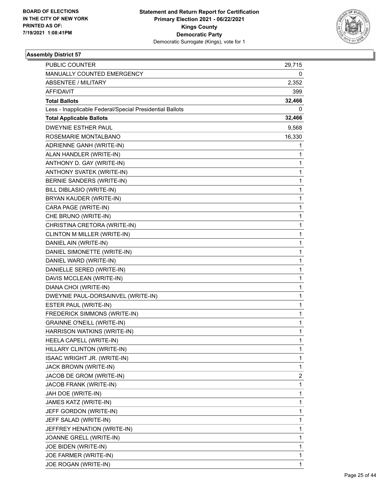

| PUBLIC COUNTER                                           | 29,715                  |
|----------------------------------------------------------|-------------------------|
| MANUALLY COUNTED EMERGENCY                               | 0                       |
| <b>ABSENTEE / MILITARY</b>                               | 2,352                   |
| <b>AFFIDAVIT</b>                                         | 399                     |
| <b>Total Ballots</b>                                     | 32,466                  |
| Less - Inapplicable Federal/Special Presidential Ballots | 0                       |
| <b>Total Applicable Ballots</b>                          | 32,466                  |
| <b>DWEYNIE ESTHER PAUL</b>                               | 9,568                   |
| ROSEMARIE MONTALBANO                                     | 16,330                  |
| ADRIENNE GANH (WRITE-IN)                                 | 1                       |
| ALAN HANDLER (WRITE-IN)                                  | 1                       |
| ANTHONY D. GAY (WRITE-IN)                                | 1                       |
| ANTHONY SVATEK (WRITE-IN)                                | $\mathbf{1}$            |
| BERNIE SANDERS (WRITE-IN)                                | 1                       |
| BILL DIBLASIO (WRITE-IN)                                 | $\mathbf{1}$            |
| BRYAN KAUDER (WRITE-IN)                                  | $\mathbf{1}$            |
| CARA PAGE (WRITE-IN)                                     | 1                       |
| CHE BRUNO (WRITE-IN)                                     | 1                       |
| CHRISTINA CRETORA (WRITE-IN)                             | $\mathbf{1}$            |
| CLINTON M MILLER (WRITE-IN)                              | 1                       |
| DANIEL AIN (WRITE-IN)                                    | $\mathbf{1}$            |
| DANIEL SIMONETTE (WRITE-IN)                              | $\mathbf{1}$            |
| DANIEL WARD (WRITE-IN)                                   | 1                       |
| DANIELLE SERED (WRITE-IN)                                | 1                       |
| DAVIS MCCLEAN (WRITE-IN)                                 | $\mathbf{1}$            |
| DIANA CHOI (WRITE-IN)                                    | 1                       |
| DWEYNIE PAUL-DORSAINVEL (WRITE-IN)                       | $\mathbf{1}$            |
| ESTER PAUL (WRITE-IN)                                    | 1                       |
| FREDERICK SIMMONS (WRITE-IN)                             | 1                       |
| <b>GRAINNE O'NEILL (WRITE-IN)</b>                        | 1                       |
| HARRISON WATKINS (WRITE-IN)                              | 1                       |
| HEELA CAPELL (WRITE-IN)                                  | 1                       |
| HILLARY CLINTON (WRITE-IN)                               | 1                       |
| ISAAC WRIGHT JR. (WRITE-IN)                              | 1                       |
| JACK BROWN (WRITE-IN)                                    | 1                       |
| JACOB DE GROM (WRITE-IN)                                 | $\overline{\mathbf{c}}$ |
| JACOB FRANK (WRITE-IN)                                   | 1                       |
| JAH DOE (WRITE-IN)                                       | 1                       |
| JAMES KATZ (WRITE-IN)                                    | 1                       |
| JEFF GORDON (WRITE-IN)                                   | 1                       |
| JEFF SALAD (WRITE-IN)                                    | 1                       |
| JEFFREY HENATION (WRITE-IN)                              | 1                       |
| JOANNE GRELL (WRITE-IN)                                  | 1                       |
| JOE BIDEN (WRITE-IN)                                     | 1                       |
| JOE FARMER (WRITE-IN)                                    | 1                       |
| JOE ROGAN (WRITE-IN)                                     | 1                       |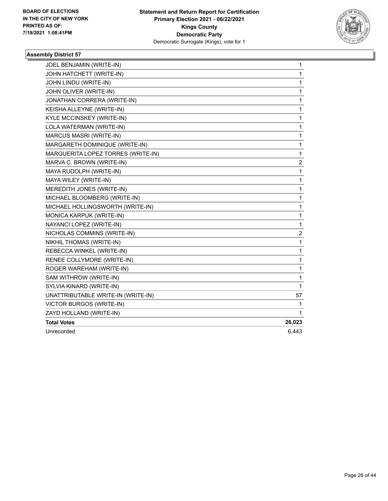

| JOEL BENJAMIN (WRITE-IN)           | $\mathbf{1}$ |
|------------------------------------|--------------|
| JOHN HATCHETT (WRITE-IN)           | 1            |
| JOHN LINDU (WRITE-IN)              | 1            |
| JOHN OLIVER (WRITE-IN)             | 1            |
| JONATHAN CORRERA (WRITE-IN)        | $\mathbf{1}$ |
| KEISHA ALLEYNE (WRITE-IN)          | 1            |
| KYLE MCCINSKEY (WRITE-IN)          | 1            |
| LOLA WATERMAN (WRITE-IN)           | 1            |
| MARCUS MASRI (WRITE-IN)            | 1            |
| MARGARETH DOMINIQUE (WRITE-IN)     | $\mathbf{1}$ |
| MARGUERITA LOPEZ TORRES (WRITE-IN) | $\mathbf{1}$ |
| MARVA C. BROWN (WRITE-IN)          | 2            |
| MAYA RUDOLPH (WRITE-IN)            | $\mathbf{1}$ |
| MAYA WILEY (WRITE-IN)              | 1            |
| MEREDITH JONES (WRITE-IN)          | $\mathbf{1}$ |
| MICHAEL BLOOMBERG (WRITE-IN)       | $\mathbf{1}$ |
| MICHAEL HOLLINGSWORTH (WRITE-IN)   | 1            |
| MONICA KARPUK (WRITE-IN)           | $\mathbf{1}$ |
| NAYANCI LOPEZ (WRITE-IN)           | 1            |
| NICHOLAS COMMINS (WRITE-IN)        | 2            |
| NIKHIL THOMAS (WRITE-IN)           | 1            |
| REBECCA WINKEL (WRITE-IN)          | 1            |
| RENEE COLLYMORE (WRITE-IN)         | 1            |
| ROGER WAREHAM (WRITE-IN)           | 1            |
| SAM WITHROW (WRITE-IN)             | 1            |
| SYLVIA KINARD (WRITE-IN)           | 1            |
| UNATTRIBUTABLE WRITE-IN (WRITE-IN) | 57           |
| <b>VICTOR BURGOS (WRITE-IN)</b>    | 1            |
| ZAYD HOLLAND (WRITE-IN)            | 1            |
| <b>Total Votes</b>                 | 26,023       |
| Unrecorded                         | 6,443        |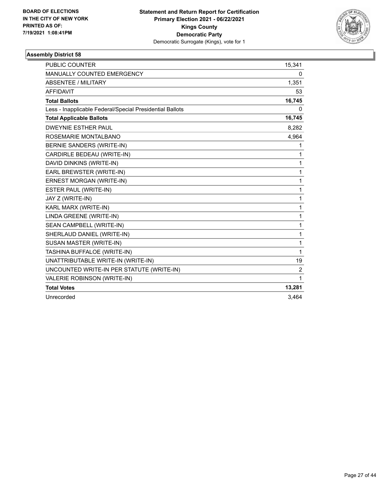

| PUBLIC COUNTER                                           | 15,341 |
|----------------------------------------------------------|--------|
| MANUALLY COUNTED EMERGENCY                               | 0      |
| <b>ABSENTEE / MILITARY</b>                               | 1,351  |
| <b>AFFIDAVIT</b>                                         | 53     |
| <b>Total Ballots</b>                                     | 16,745 |
| Less - Inapplicable Federal/Special Presidential Ballots | 0      |
| <b>Total Applicable Ballots</b>                          | 16,745 |
| <b>DWEYNIE ESTHER PAUL</b>                               | 8.282  |
| ROSEMARIE MONTALBANO                                     | 4,964  |
| BERNIE SANDERS (WRITE-IN)                                | 1      |
| CARDIRLE BEDEAU (WRITE-IN)                               | 1      |
| DAVID DINKINS (WRITE-IN)                                 | 1      |
| EARL BREWSTER (WRITE-IN)                                 | 1      |
| ERNEST MORGAN (WRITE-IN)                                 | 1      |
| ESTER PAUL (WRITE-IN)                                    | 1      |
| JAY Z (WRITE-IN)                                         | 1      |
| KARL MARX (WRITE-IN)                                     | 1      |
| LINDA GREENE (WRITE-IN)                                  | 1      |
| SEAN CAMPBELL (WRITE-IN)                                 | 1      |
| SHERLAUD DANIEL (WRITE-IN)                               | 1      |
| SUSAN MASTER (WRITE-IN)                                  | 1      |
| TASHINA BUFFALOE (WRITE-IN)                              | 1      |
| UNATTRIBUTABLE WRITE-IN (WRITE-IN)                       | 19     |
| UNCOUNTED WRITE-IN PER STATUTE (WRITE-IN)                | 2      |
| VALERIE ROBINSON (WRITE-IN)                              | 1      |
| <b>Total Votes</b>                                       | 13,281 |
| Unrecorded                                               | 3.464  |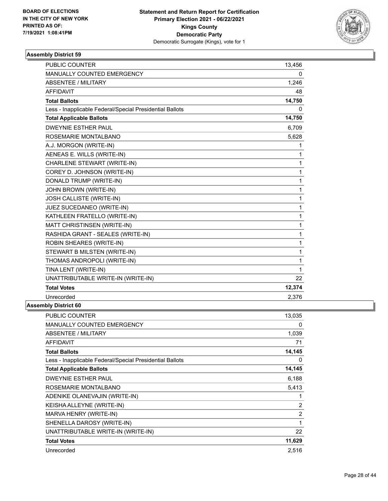

| MANUALLY COUNTED EMERGENCY<br>0<br><b>ABSENTEE / MILITARY</b><br>1,246<br><b>AFFIDAVIT</b><br>48<br>14,750<br><b>Total Ballots</b><br>Less - Inapplicable Federal/Special Presidential Ballots<br>0<br>14,750<br><b>Total Applicable Ballots</b><br><b>DWEYNIE ESTHER PAUL</b><br>6,709<br>ROSEMARIE MONTALBANO<br>5,628<br>A.J. MORGON (WRITE-IN)<br>1<br>AENEAS E. WILLS (WRITE-IN)<br>1<br>CHARLENE STEWART (WRITE-IN)<br>1<br>COREY D. JOHNSON (WRITE-IN)<br>1<br>DONALD TRUMP (WRITE-IN)<br>1<br>JOHN BROWN (WRITE-IN)<br>1<br>JOSH CALLISTE (WRITE-IN)<br>1<br>JUEZ SUCEDANEO (WRITE-IN)<br>1<br>KATHLEEN FRATELLO (WRITE-IN)<br>1<br>MATT CHRISTINSEN (WRITE-IN)<br>1<br>RASHIDA GRANT - SEALES (WRITE-IN)<br>1<br>ROBIN SHEARES (WRITE-IN)<br>1<br>STEWART B MILSTEN (WRITE-IN)<br>1<br>THOMAS ANDROPOLI (WRITE-IN)<br>1<br>TINA LENT (WRITE-IN)<br>1<br>UNATTRIBUTABLE WRITE-IN (WRITE-IN)<br>22<br>12,374<br><b>Total Votes</b><br>Unrecorded<br>2,376 | <b>PUBLIC COUNTER</b> | 13,456 |
|------------------------------------------------------------------------------------------------------------------------------------------------------------------------------------------------------------------------------------------------------------------------------------------------------------------------------------------------------------------------------------------------------------------------------------------------------------------------------------------------------------------------------------------------------------------------------------------------------------------------------------------------------------------------------------------------------------------------------------------------------------------------------------------------------------------------------------------------------------------------------------------------------------------------------------------------------------------|-----------------------|--------|
|                                                                                                                                                                                                                                                                                                                                                                                                                                                                                                                                                                                                                                                                                                                                                                                                                                                                                                                                                                  |                       |        |
|                                                                                                                                                                                                                                                                                                                                                                                                                                                                                                                                                                                                                                                                                                                                                                                                                                                                                                                                                                  |                       |        |
|                                                                                                                                                                                                                                                                                                                                                                                                                                                                                                                                                                                                                                                                                                                                                                                                                                                                                                                                                                  |                       |        |
|                                                                                                                                                                                                                                                                                                                                                                                                                                                                                                                                                                                                                                                                                                                                                                                                                                                                                                                                                                  |                       |        |
|                                                                                                                                                                                                                                                                                                                                                                                                                                                                                                                                                                                                                                                                                                                                                                                                                                                                                                                                                                  |                       |        |
|                                                                                                                                                                                                                                                                                                                                                                                                                                                                                                                                                                                                                                                                                                                                                                                                                                                                                                                                                                  |                       |        |
|                                                                                                                                                                                                                                                                                                                                                                                                                                                                                                                                                                                                                                                                                                                                                                                                                                                                                                                                                                  |                       |        |
|                                                                                                                                                                                                                                                                                                                                                                                                                                                                                                                                                                                                                                                                                                                                                                                                                                                                                                                                                                  |                       |        |
|                                                                                                                                                                                                                                                                                                                                                                                                                                                                                                                                                                                                                                                                                                                                                                                                                                                                                                                                                                  |                       |        |
|                                                                                                                                                                                                                                                                                                                                                                                                                                                                                                                                                                                                                                                                                                                                                                                                                                                                                                                                                                  |                       |        |
|                                                                                                                                                                                                                                                                                                                                                                                                                                                                                                                                                                                                                                                                                                                                                                                                                                                                                                                                                                  |                       |        |
|                                                                                                                                                                                                                                                                                                                                                                                                                                                                                                                                                                                                                                                                                                                                                                                                                                                                                                                                                                  |                       |        |
|                                                                                                                                                                                                                                                                                                                                                                                                                                                                                                                                                                                                                                                                                                                                                                                                                                                                                                                                                                  |                       |        |
|                                                                                                                                                                                                                                                                                                                                                                                                                                                                                                                                                                                                                                                                                                                                                                                                                                                                                                                                                                  |                       |        |
|                                                                                                                                                                                                                                                                                                                                                                                                                                                                                                                                                                                                                                                                                                                                                                                                                                                                                                                                                                  |                       |        |
|                                                                                                                                                                                                                                                                                                                                                                                                                                                                                                                                                                                                                                                                                                                                                                                                                                                                                                                                                                  |                       |        |
|                                                                                                                                                                                                                                                                                                                                                                                                                                                                                                                                                                                                                                                                                                                                                                                                                                                                                                                                                                  |                       |        |
|                                                                                                                                                                                                                                                                                                                                                                                                                                                                                                                                                                                                                                                                                                                                                                                                                                                                                                                                                                  |                       |        |
|                                                                                                                                                                                                                                                                                                                                                                                                                                                                                                                                                                                                                                                                                                                                                                                                                                                                                                                                                                  |                       |        |
|                                                                                                                                                                                                                                                                                                                                                                                                                                                                                                                                                                                                                                                                                                                                                                                                                                                                                                                                                                  |                       |        |
|                                                                                                                                                                                                                                                                                                                                                                                                                                                                                                                                                                                                                                                                                                                                                                                                                                                                                                                                                                  |                       |        |
|                                                                                                                                                                                                                                                                                                                                                                                                                                                                                                                                                                                                                                                                                                                                                                                                                                                                                                                                                                  |                       |        |
|                                                                                                                                                                                                                                                                                                                                                                                                                                                                                                                                                                                                                                                                                                                                                                                                                                                                                                                                                                  |                       |        |
|                                                                                                                                                                                                                                                                                                                                                                                                                                                                                                                                                                                                                                                                                                                                                                                                                                                                                                                                                                  |                       |        |
|                                                                                                                                                                                                                                                                                                                                                                                                                                                                                                                                                                                                                                                                                                                                                                                                                                                                                                                                                                  |                       |        |
|                                                                                                                                                                                                                                                                                                                                                                                                                                                                                                                                                                                                                                                                                                                                                                                                                                                                                                                                                                  |                       |        |

| PUBLIC COUNTER                                           | 13,035 |
|----------------------------------------------------------|--------|
| <b>MANUALLY COUNTED EMERGENCY</b>                        | 0      |
| <b>ABSENTEE / MILITARY</b>                               | 1,039  |
| <b>AFFIDAVIT</b>                                         | 71     |
| <b>Total Ballots</b>                                     | 14,145 |
| Less - Inapplicable Federal/Special Presidential Ballots | 0      |
| <b>Total Applicable Ballots</b>                          | 14,145 |
| <b>DWEYNIE ESTHER PAUL</b>                               | 6,188  |
| ROSEMARIE MONTALBANO                                     | 5,413  |
| ADENIKE OLANEVAJIN (WRITE-IN)                            | 1      |
| KEISHA ALLEYNE (WRITE-IN)                                | 2      |
| MARVA HENRY (WRITE-IN)                                   | 2      |
| SHENELLA DAROSY (WRITE-IN)                               | 1      |
| UNATTRIBUTABLE WRITE-IN (WRITE-IN)                       | 22     |
| <b>Total Votes</b>                                       | 11,629 |
| Unrecorded                                               | 2,516  |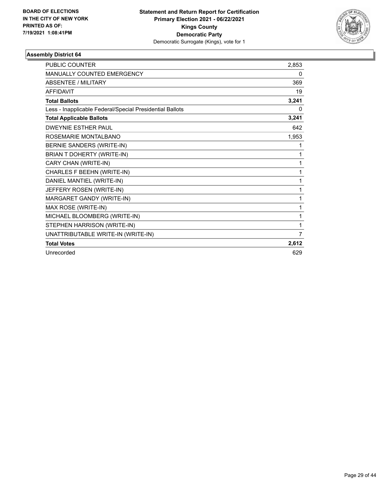

| <b>PUBLIC COUNTER</b>                                    | 2,853 |
|----------------------------------------------------------|-------|
| MANUALLY COUNTED EMERGENCY                               | 0     |
| <b>ABSENTEE / MILITARY</b>                               | 369   |
| <b>AFFIDAVIT</b>                                         | 19    |
| <b>Total Ballots</b>                                     | 3,241 |
| Less - Inapplicable Federal/Special Presidential Ballots | 0     |
| <b>Total Applicable Ballots</b>                          | 3,241 |
| <b>DWEYNIE ESTHER PAUL</b>                               | 642   |
| ROSEMARIE MONTALBANO                                     | 1,953 |
| BERNIE SANDERS (WRITE-IN)                                | 1     |
| BRIAN T DOHERTY (WRITE-IN)                               | 1     |
| CARY CHAN (WRITE-IN)                                     | 1     |
| CHARLES F BEEHN (WRITE-IN)                               | 1     |
| DANIEL MANTIEL (WRITE-IN)                                | 1     |
| JEFFERY ROSEN (WRITE-IN)                                 | 1     |
| MARGARET GANDY (WRITE-IN)                                | 1     |
| MAX ROSE (WRITE-IN)                                      | 1     |
| MICHAEL BLOOMBERG (WRITE-IN)                             | 1     |
| STEPHEN HARRISON (WRITE-IN)                              | 1     |
| UNATTRIBUTABLE WRITE-IN (WRITE-IN)                       | 7     |
| <b>Total Votes</b>                                       | 2,612 |
| Unrecorded                                               | 629   |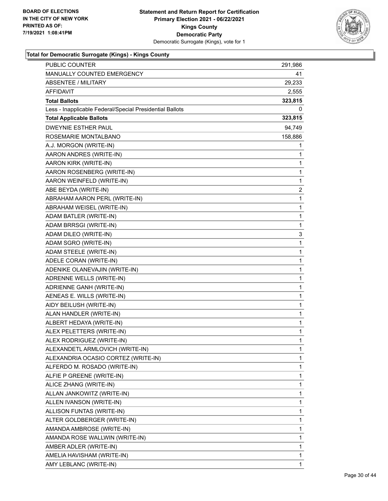

| PUBLIC COUNTER                                           | 291,986                 |
|----------------------------------------------------------|-------------------------|
| MANUALLY COUNTED EMERGENCY                               | 41                      |
| <b>ABSENTEE / MILITARY</b>                               | 29,233                  |
| <b>AFFIDAVIT</b>                                         | 2,555                   |
| <b>Total Ballots</b>                                     | 323,815                 |
| Less - Inapplicable Federal/Special Presidential Ballots | 0                       |
| <b>Total Applicable Ballots</b>                          | 323,815                 |
| <b>DWEYNIE ESTHER PAUL</b>                               | 94,749                  |
| ROSEMARIE MONTALBANO                                     | 158,886                 |
| A.J. MORGON (WRITE-IN)                                   | 1                       |
| AARON ANDRES (WRITE-IN)                                  | 1                       |
| AARON KIRK (WRITE-IN)                                    | 1                       |
| AARON ROSENBERG (WRITE-IN)                               | 1                       |
| AARON WEINFELD (WRITE-IN)                                | $\mathbf{1}$            |
| ABE BEYDA (WRITE-IN)                                     | $\overline{\mathbf{c}}$ |
| ABRAHAM AARON PERL (WRITE-IN)                            | $\mathbf{1}$            |
| ABRAHAM WEISEL (WRITE-IN)                                | $\mathbf{1}$            |
| ADAM BATLER (WRITE-IN)                                   | 1                       |
| ADAM BRRSGI (WRITE-IN)                                   | 1                       |
| ADAM DILEO (WRITE-IN)                                    | 3                       |
| ADAM SGRO (WRITE-IN)                                     | $\mathbf{1}$            |
| ADAM STEELE (WRITE-IN)                                   | $\mathbf{1}$            |
| ADELE CORAN (WRITE-IN)                                   | 1                       |
| ADENIKE OLANEVAJIN (WRITE-IN)                            | 1                       |
| ADRENNE WELLS (WRITE-IN)                                 | $\mathbf{1}$            |
| ADRIENNE GANH (WRITE-IN)                                 | $\mathbf{1}$            |
| AENEAS E. WILLS (WRITE-IN)                               | 1                       |
| AIDY BEILUSH (WRITE-IN)                                  | $\mathbf{1}$            |
| ALAN HANDLER (WRITE-IN)                                  | 1                       |
| ALBERT HEDAYA (WRITE-IN)                                 | 1                       |
| ALEX PELETTERS (WRITE-IN)                                | 1                       |
| ALEX RODRIGUEZ (WRITE-IN)                                | $\mathbf{1}$            |
| ALEXANDETL ARMLOVICH (WRITE-IN)                          | 1                       |
| ALEXANDRIA OCASIO CORTEZ (WRITE-IN)                      | 1                       |
| ALFERDO M. ROSADO (WRITE-IN)                             | 1                       |
| ALFIE P GREENE (WRITE-IN)                                | 1                       |
| ALICE ZHANG (WRITE-IN)                                   | 1                       |
| ALLAN JANKOWITZ (WRITE-IN)                               | 1                       |
| ALLEN IVANSON (WRITE-IN)                                 | 1                       |
| ALLISON FUNTAS (WRITE-IN)                                | 1                       |
| ALTER GOLDBERGER (WRITE-IN)                              | 1                       |
| AMANDA AMBROSE (WRITE-IN)                                | 1                       |
| AMANDA ROSE WALLWIN (WRITE-IN)                           | 1                       |
| AMBER ADLER (WRITE-IN)                                   | 1                       |
| AMELIA HAVISHAM (WRITE-IN)                               | 1                       |
| AMY LEBLANC (WRITE-IN)                                   | 1                       |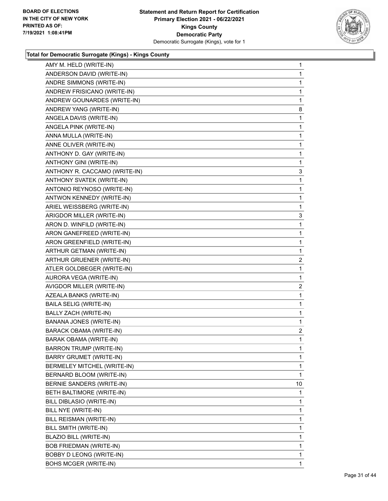

| AMY M. HELD (WRITE-IN)         | 1              |
|--------------------------------|----------------|
| ANDERSON DAVID (WRITE-IN)      | 1              |
| ANDRE SIMMONS (WRITE-IN)       | 1              |
| ANDREW FRISICANO (WRITE-IN)    | 1              |
| ANDREW GOUNARDES (WRITE-IN)    | 1              |
| ANDREW YANG (WRITE-IN)         | 8              |
| ANGELA DAVIS (WRITE-IN)        | 1              |
| ANGELA PINK (WRITE-IN)         | 1              |
| ANNA MULLA (WRITE-IN)          | 1              |
| ANNE OLIVER (WRITE-IN)         | 1              |
| ANTHONY D. GAY (WRITE-IN)      | 1              |
| ANTHONY GINI (WRITE-IN)        | 1              |
| ANTHONY R. CACCAMO (WRITE-IN)  | 3              |
| ANTHONY SVATEK (WRITE-IN)      | 1              |
| ANTONIO REYNOSO (WRITE-IN)     | 1              |
| ANTWON KENNEDY (WRITE-IN)      | 1              |
| ARIEL WEISSBERG (WRITE-IN)     | 1              |
| ARIGDOR MILLER (WRITE-IN)      | 3              |
| ARON D. WINFILD (WRITE-IN)     | 1              |
| ARON GANEFREED (WRITE-IN)      | 1              |
| ARON GREENFIELD (WRITE-IN)     | 1              |
| ARTHUR GETMAN (WRITE-IN)       | 1              |
| ARTHUR GRUENER (WRITE-IN)      | $\overline{c}$ |
| ATLER GOLDBEGER (WRITE-IN)     | 1              |
| AURORA VEGA (WRITE-IN)         | 1              |
| AVIGDOR MILLER (WRITE-IN)      | $\overline{c}$ |
| AZEALA BANKS (WRITE-IN)        | 1              |
| BAILA SELIG (WRITE-IN)         | 1              |
| BALLY ZACH (WRITE-IN)          | 1              |
| BANANA JONES (WRITE-IN)        | $\mathbf{1}$   |
| <b>BARACK OBAMA (WRITE-IN)</b> | $\overline{2}$ |
| BARAK OBAMA (WRITE-IN)         | 1              |
| BARRON TRUMP (WRITE-IN)        | 1              |
| BARRY GRUMET (WRITE-IN)        | 1              |
| BERMELEY MITCHEL (WRITE-IN)    | 1              |
| BERNARD BLOOM (WRITE-IN)       | 1              |
| BERNIE SANDERS (WRITE-IN)      | 10             |
| BETH BALTIMORE (WRITE-IN)      | 1              |
| BILL DIBLASIO (WRITE-IN)       | 1              |
| BILL NYE (WRITE-IN)            | 1              |
| <b>BILL REISMAN (WRITE-IN)</b> | 1              |
| BILL SMITH (WRITE-IN)          | 1              |
| BLAZIO BILL (WRITE-IN)         | 1              |
| BOB FRIEDMAN (WRITE-IN)        | 1              |
| BOBBY D LEONG (WRITE-IN)       | 1              |
| BOHS MCGER (WRITE-IN)          | 1              |
|                                |                |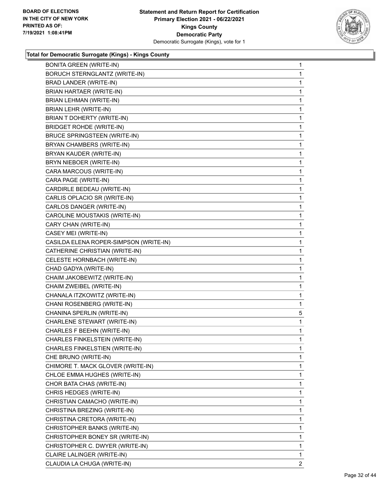

| <b>BONITA GREEN (WRITE-IN)</b>         | $\mathbf{1}$   |
|----------------------------------------|----------------|
| <b>BORUCH STERNGLANTZ (WRITE-IN)</b>   | 1              |
| BRAD LANDER (WRITE-IN)                 | 1              |
| BRIAN HARTAER (WRITE-IN)               | $\mathbf 1$    |
| BRIAN LEHMAN (WRITE-IN)                | 1              |
| BRIAN LEHR (WRITE-IN)                  | 1              |
| BRIAN T DOHERTY (WRITE-IN)             | $\mathbf 1$    |
| <b>BRIDGET ROHDE (WRITE-IN)</b>        | 1              |
| <b>BRUCE SPRINGSTEEN (WRITE-IN)</b>    | 1              |
| BRYAN CHAMBERS (WRITE-IN)              | $\mathbf 1$    |
| BRYAN KAUDER (WRITE-IN)                | 1              |
| BRYN NIEBOER (WRITE-IN)                | 1              |
| CARA MARCOUS (WRITE-IN)                | $\mathbf 1$    |
| CARA PAGE (WRITE-IN)                   | 1              |
| CARDIRLE BEDEAU (WRITE-IN)             | 1              |
| CARLIS OPLACIO SR (WRITE-IN)           | $\mathbf 1$    |
| CARLOS DANGER (WRITE-IN)               | 1              |
| CAROLINE MOUSTAKIS (WRITE-IN)          | 1              |
| CARY CHAN (WRITE-IN)                   | $\mathbf 1$    |
| CASEY MEI (WRITE-IN)                   | 1              |
| CASILDA ELENA ROPER-SIMPSON (WRITE-IN) | 1              |
| CATHERINE CHRISTIAN (WRITE-IN)         | $\mathbf 1$    |
| CELESTE HORNBACH (WRITE-IN)            | 1              |
| CHAD GADYA (WRITE-IN)                  | 1              |
| CHAIM JAKOBEWITZ (WRITE-IN)            | $\mathbf 1$    |
| CHAIM ZWEIBEL (WRITE-IN)               | 1              |
| CHANALA ITZKOWITZ (WRITE-IN)           | 1              |
| CHANI ROSENBERG (WRITE-IN)             | 1              |
| CHANINA SPERLIN (WRITE-IN)             | 5              |
| CHARLENE STEWART (WRITE-IN)            | 1              |
| CHARLES F BEEHN (WRITE-IN)             | 1              |
| CHARLES FINKELSTEIN (WRITE-IN)         | 1              |
| CHARLES FINKELSTIEN (WRITE-IN)         | $\mathbf 1$    |
| CHE BRUNO (WRITE-IN)                   | 1              |
| CHIMORE T. MACK GLOVER (WRITE-IN)      | 1              |
| CHLOE EMMA HUGHES (WRITE-IN)           | 1              |
| CHOR BATA CHAS (WRITE-IN)              | 1              |
| CHRIS HEDGES (WRITE-IN)                | 1              |
| CHRISTIAN CAMACHO (WRITE-IN)           | 1              |
| CHRISTINA BREZING (WRITE-IN)           | 1              |
| CHRISTINA CRETORA (WRITE-IN)           | 1              |
| CHRISTOPHER BANKS (WRITE-IN)           | 1              |
| CHRISTOPHER BONEY SR (WRITE-IN)        | 1              |
| CHRISTOPHER C. DWYER (WRITE-IN)        | 1              |
| CLAIRE LALINGER (WRITE-IN)             | 1              |
| CLAUDIA LA CHUGA (WRITE-IN)            | $\overline{2}$ |
|                                        |                |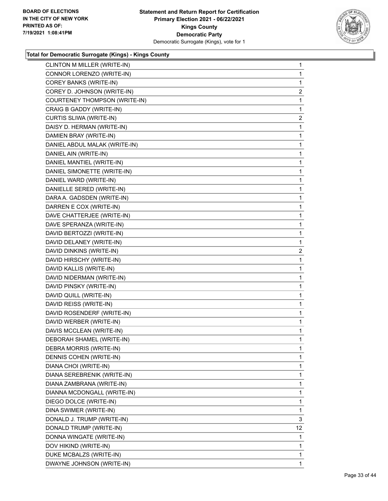

| CLINTON M MILLER (WRITE-IN)          | $\mathbf{1}$   |
|--------------------------------------|----------------|
| CONNOR LORENZO (WRITE-IN)            | 1              |
| <b>COREY BANKS (WRITE-IN)</b>        | 1              |
| COREY D. JOHNSON (WRITE-IN)          | $\overline{2}$ |
| <b>COURTENEY THOMPSON (WRITE-IN)</b> | 1              |
| CRAIG B GADDY (WRITE-IN)             | $\mathbf{1}$   |
| CURTIS SLIWA (WRITE-IN)              | $\overline{2}$ |
| DAISY D. HERMAN (WRITE-IN)           | 1              |
| DAMIEN BRAY (WRITE-IN)               | 1              |
| DANIEL ABDUL MALAK (WRITE-IN)        | 1              |
| DANIEL AIN (WRITE-IN)                | 1              |
| DANIEL MANTIEL (WRITE-IN)            | 1              |
| DANIEL SIMONETTE (WRITE-IN)          | 1              |
| DANIEL WARD (WRITE-IN)               | 1              |
| DANIELLE SERED (WRITE-IN)            | 1              |
| DARA A. GADSDEN (WRITE-IN)           | 1              |
| DARREN E COX (WRITE-IN)              | 1              |
| DAVE CHATTERJEE (WRITE-IN)           | 1              |
| DAVE SPERANZA (WRITE-IN)             | 1              |
| DAVID BERTOZZI (WRITE-IN)            | 1              |
| DAVID DELANEY (WRITE-IN)             | 1              |
| DAVID DINKINS (WRITE-IN)             | $\overline{a}$ |
| DAVID HIRSCHY (WRITE-IN)             | 1              |
| DAVID KALLIS (WRITE-IN)              | 1              |
| DAVID NIDERMAN (WRITE-IN)            | 1              |
| DAVID PINSKY (WRITE-IN)              | 1              |
| DAVID QUILL (WRITE-IN)               | 1              |
| DAVID REISS (WRITE-IN)               | 1              |
| DAVID ROSENDERF (WRITE-IN)           | $\mathbf{1}$   |
| DAVID WERBER (WRITE-IN)              | $\mathbf{1}$   |
| DAVIS MCCLEAN (WRITE-IN)             | 1              |
| DEBORAH SHAMEL (WRITE-IN)            | 1              |
| DEBRA MORRIS (WRITE-IN)              | 1              |
| DENNIS COHEN (WRITE-IN)              | 1              |
| DIANA CHOI (WRITE-IN)                | 1              |
| DIANA SEREBRENIK (WRITE-IN)          | 1              |
| DIANA ZAMBRANA (WRITE-IN)            | 1              |
| DIANNA MCDONGALL (WRITE-IN)          | 1              |
| DIEGO DOLCE (WRITE-IN)               | 1              |
| DINA SWIMER (WRITE-IN)               | 1              |
| DONALD J. TRUMP (WRITE-IN)           | 3              |
| DONALD TRUMP (WRITE-IN)              | 12             |
| DONNA WINGATE (WRITE-IN)             | 1              |
| DOV HIKIND (WRITE-IN)                | 1              |
| DUKE MCBALZS (WRITE-IN)              | 1              |
| DWAYNE JOHNSON (WRITE-IN)            | 1              |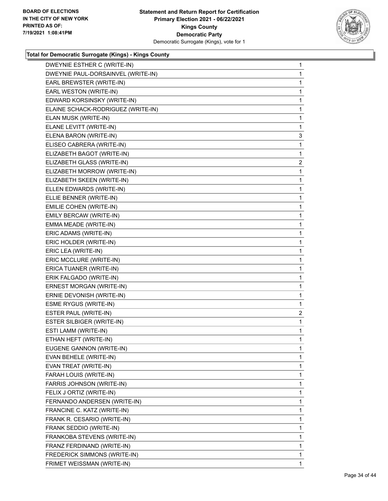

| DWEYNIE ESTHER C (WRITE-IN)        | 1              |
|------------------------------------|----------------|
| DWEYNIE PAUL-DORSAINVEL (WRITE-IN) | 1              |
| EARL BREWSTER (WRITE-IN)           | 1              |
| EARL WESTON (WRITE-IN)             | 1              |
| EDWARD KORSINSKY (WRITE-IN)        | 1              |
| ELAINE SCHACK-RODRIGUEZ (WRITE-IN) | 1              |
| ELAN MUSK (WRITE-IN)               | 1              |
| ELANE LEVITT (WRITE-IN)            | 1              |
| ELENA BARON (WRITE-IN)             | 3              |
| ELISEO CABRERA (WRITE-IN)          | 1              |
| ELIZABETH BAGOT (WRITE-IN)         | 1              |
| ELIZABETH GLASS (WRITE-IN)         | $\overline{2}$ |
| ELIZABETH MORROW (WRITE-IN)        | 1              |
| ELIZABETH SKEEN (WRITE-IN)         | 1              |
| ELLEN EDWARDS (WRITE-IN)           | 1              |
| ELLIE BENNER (WRITE-IN)            | 1              |
| EMILIE COHEN (WRITE-IN)            | 1              |
| EMILY BERCAW (WRITE-IN)            | 1              |
| EMMA MEADE (WRITE-IN)              | 1              |
| ERIC ADAMS (WRITE-IN)              | 1              |
| ERIC HOLDER (WRITE-IN)             | 1              |
| ERIC LEA (WRITE-IN)                | 1              |
| ERIC MCCLURE (WRITE-IN)            | 1              |
| ERICA TUANER (WRITE-IN)            | 1              |
| ERIK FALGADO (WRITE-IN)            | 1              |
| ERNEST MORGAN (WRITE-IN)           | 1              |
| ERNIE DEVONISH (WRITE-IN)          | 1              |
| <b>ESME RYGUS (WRITE-IN)</b>       | 1              |
| ESTER PAUL (WRITE-IN)              | $\overline{2}$ |
| ESTER SILBIGER (WRITE-IN)          | $\mathbf{1}$   |
| ESTI LAMM (WRITE-IN)               | 1              |
| ETHAN HEFT (WRITE-IN)              | $\mathbf{1}$   |
| EUGENE GANNON (WRITE-IN)           | 1              |
| EVAN BEHELE (WRITE-IN)             | 1              |
| EVAN TREAT (WRITE-IN)              | 1              |
| FARAH LOUIS (WRITE-IN)             | 1              |
| FARRIS JOHNSON (WRITE-IN)          | 1              |
| FELIX J ORTIZ (WRITE-IN)           | 1              |
| FERNANDO ANDERSEN (WRITE-IN)       | 1              |
| FRANCINE C. KATZ (WRITE-IN)        | 1              |
| FRANK R. CESARIO (WRITE-IN)        | 1              |
| FRANK SEDDIO (WRITE-IN)            | 1              |
| FRANKOBA STEVENS (WRITE-IN)        | 1              |
| FRANZ FERDINAND (WRITE-IN)         | 1              |
| FREDERICK SIMMONS (WRITE-IN)       | 1              |
| FRIMET WEISSMAN (WRITE-IN)         | 1              |
|                                    |                |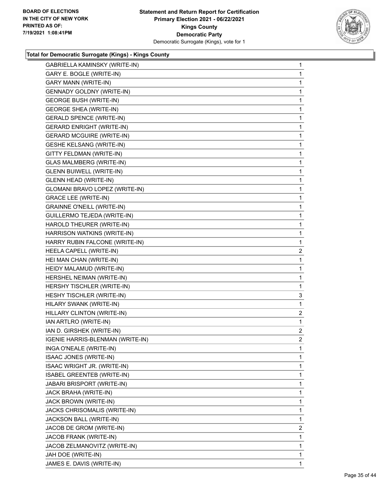

| GABRIELLA KAMINSKY (WRITE-IN)     | $\mathbf{1}$   |
|-----------------------------------|----------------|
| GARY E. BOGLE (WRITE-IN)          | 1.             |
| <b>GARY MANN (WRITE-IN)</b>       | 1              |
| GENNADY GOLDNY (WRITE-IN)         | 1              |
| <b>GEORGE BUSH (WRITE-IN)</b>     | 1              |
| <b>GEORGE SHEA (WRITE-IN)</b>     | 1              |
| <b>GERALD SPENCE (WRITE-IN)</b>   | 1              |
| <b>GERARD ENRIGHT (WRITE-IN)</b>  | 1              |
| <b>GERARD MCGUIRE (WRITE-IN)</b>  | 1              |
| <b>GESHE KELSANG (WRITE-IN)</b>   | 1              |
| GITTY FELDMAN (WRITE-IN)          | 1              |
| <b>GLAS MALMBERG (WRITE-IN)</b>   | 1              |
| <b>GLENN BUIWELL (WRITE-IN)</b>   | 1              |
| <b>GLENN HEAD (WRITE-IN)</b>      | 1              |
| GLOMANI BRAVO LOPEZ (WRITE-IN)    | 1              |
| <b>GRACE LEE (WRITE-IN)</b>       | 1              |
| <b>GRAINNE O'NEILL (WRITE-IN)</b> | 1              |
| GUILLERMO TEJEDA (WRITE-IN)       | 1              |
| HAROLD THEURER (WRITE-IN)         | 1              |
| HARRISON WATKINS (WRITE-IN)       | 1              |
| HARRY RUBIN FALCONE (WRITE-IN)    | 1              |
| HEELA CAPELL (WRITE-IN)           | $\overline{2}$ |
| HEI MAN CHAN (WRITE-IN)           | 1              |
| HEIDY MALAMUD (WRITE-IN)          | 1              |
| HERSHEL NEIMAN (WRITE-IN)         | 1              |
| HERSHY TISCHLER (WRITE-IN)        | 1              |
| HESHY TISCHLER (WRITE-IN)         | 3              |
| HILARY SWANK (WRITE-IN)           | 1              |
| HILLARY CLINTON (WRITE-IN)        | 2              |
| IAN ARTLRO (WRITE-IN)             | $\mathbf{1}$   |
| IAN D. GIRSHEK (WRITE-IN)         | 2              |
| IGENIE HARRIS-BLENMAN (WRITE-IN)  | $\overline{2}$ |
| INGA O'NEALE (WRITE-IN)           | 1              |
| ISAAC JONES (WRITE-IN)            | 1              |
| ISAAC WRIGHT JR. (WRITE-IN)       | 1              |
| ISABEL GREENTEB (WRITE-IN)        | 1              |
| JABARI BRISPORT (WRITE-IN)        | 1              |
| JACK BRAHA (WRITE-IN)             | 1              |
| JACK BROWN (WRITE-IN)             | 1              |
| JACKS CHRISOMALIS (WRITE-IN)      | 1              |
| JACKSON BALL (WRITE-IN)           | 1              |
| JACOB DE GROM (WRITE-IN)          | $\overline{2}$ |
| JACOB FRANK (WRITE-IN)            | 1              |
| JACOB ZELMANOVITZ (WRITE-IN)      | 1              |
| JAH DOE (WRITE-IN)                | 1              |
| JAMES E. DAVIS (WRITE-IN)         | 1              |
|                                   |                |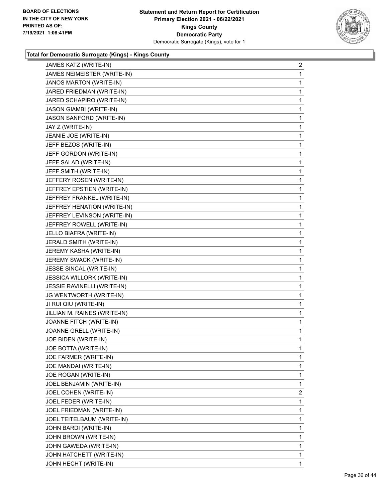

| JAMES KATZ (WRITE-IN)          | $\overline{a}$ |
|--------------------------------|----------------|
| JAMES NEIMEISTER (WRITE-IN)    | 1              |
| <b>JANOS MARTON (WRITE-IN)</b> | 1              |
| JARED FRIEDMAN (WRITE-IN)      | 1              |
| JARED SCHAPIRO (WRITE-IN)      | 1              |
| JASON GIAMBI (WRITE-IN)        | 1              |
| JASON SANFORD (WRITE-IN)       | 1              |
| JAY Z (WRITE-IN)               | 1              |
| JEANIE JOE (WRITE-IN)          | 1              |
| JEFF BEZOS (WRITE-IN)          | 1              |
| JEFF GORDON (WRITE-IN)         | 1              |
| JEFF SALAD (WRITE-IN)          | 1              |
| JEFF SMITH (WRITE-IN)          | 1              |
| JEFFERY ROSEN (WRITE-IN)       | 1              |
| JEFFREY EPSTIEN (WRITE-IN)     | 1              |
| JEFFREY FRANKEL (WRITE-IN)     | 1              |
| JEFFREY HENATION (WRITE-IN)    | 1              |
| JEFFREY LEVINSON (WRITE-IN)    | 1              |
| JEFFREY ROWELL (WRITE-IN)      | 1              |
| JELLO BIAFRA (WRITE-IN)        | 1              |
| JERALD SMITH (WRITE-IN)        | 1              |
| JEREMY KASHA (WRITE-IN)        | 1              |
| JEREMY SWACK (WRITE-IN)        | 1              |
| JESSE SINCAL (WRITE-IN)        | 1              |
| JESSICA WILLORK (WRITE-IN)     | 1              |
| JESSIE RAVINELLI (WRITE-IN)    | 1              |
| JG WENTWORTH (WRITE-IN)        | 1              |
| JI RUI QIU (WRITE-IN)          | 1              |
| JILLIAN M. RAINES (WRITE-IN)   | $\mathbf{1}$   |
| JOANNE FITCH (WRITE-IN)        | 1              |
| JOANNE GRELL (WRITE-IN)        | 1              |
| JOE BIDEN (WRITE-IN)           | 1              |
| JOE BOTTA (WRITE-IN)           | 1              |
| JOE FARMER (WRITE-IN)          | 1              |
| JOE MANDAI (WRITE-IN)          | 1              |
| JOE ROGAN (WRITE-IN)           | 1              |
| JOEL BENJAMIN (WRITE-IN)       | 1              |
| JOEL COHEN (WRITE-IN)          | $\overline{2}$ |
| JOEL FEDER (WRITE-IN)          | 1              |
| JOEL FRIEDMAN (WRITE-IN)       | 1              |
| JOEL TEITELBAUM (WRITE-IN)     | 1              |
| JOHN BARDI (WRITE-IN)          | 1              |
| JOHN BROWN (WRITE-IN)          | 1              |
| JOHN GAWEDA (WRITE-IN)         | 1              |
| JOHN HATCHETT (WRITE-IN)       | 1              |
| JOHN HECHT (WRITE-IN)          | $\mathbf{1}$   |
|                                |                |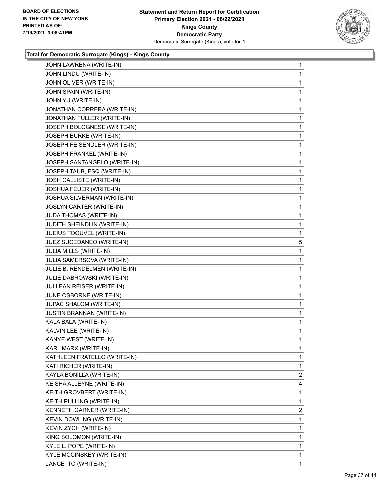

| JOHN LAWRENA (WRITE-IN)       | 1              |
|-------------------------------|----------------|
| JOHN LINDU (WRITE-IN)         | $\mathbf{1}$   |
| JOHN OLIVER (WRITE-IN)        | 1              |
| JOHN SPAIN (WRITE-IN)         | 1              |
| JOHN YU (WRITE-IN)            | 1              |
| JONATHAN CORRERA (WRITE-IN)   | 1              |
| JONATHAN FULLER (WRITE-IN)    | 1              |
| JOSEPH BOLOGNESE (WRITE-IN)   | $\mathbf{1}$   |
| JOSEPH BURKE (WRITE-IN)       | 1              |
| JOSEPH FEISENDLER (WRITE-IN)  | 1              |
| JOSEPH FRANKEL (WRITE-IN)     | 1              |
| JOSEPH SANTANGELO (WRITE-IN)  | 1              |
| JOSEPH TAUB, ESQ (WRITE-IN)   | 1              |
| JOSH CALLISTE (WRITE-IN)      | 1              |
| JOSHUA FEUER (WRITE-IN)       | 1              |
| JOSHUA SILVERMAN (WRITE-IN)   | 1              |
| JOSLYN CARTER (WRITE-IN)      | 1              |
| JUDA THOMAS (WRITE-IN)        | 1              |
| JUDITH SHEINDLIN (WRITE-IN)   | 1              |
| JUEIUS TOOUVEL (WRITE-IN)     | 1              |
| JUEZ SUCEDANEO (WRITE-IN)     | 5              |
| JULIA MILLS (WRITE-IN)        | 1              |
| JULIA SAMERSOVA (WRITE-IN)    | 1              |
| JULIE B. RENDELMEN (WRITE-IN) | 1              |
| JULIE DABROWSKI (WRITE-IN)    | 1              |
| JULLEAN REISER (WRITE-IN)     | 1              |
| JUNE OSBORNE (WRITE-IN)       | 1              |
| JUPAC SHALOM (WRITE-IN)       | 1              |
| JUSTIN BRANNAN (WRITE-IN)     | 1              |
| KALA BALA (WRITE-IN)          | 1              |
| KALVIN LEE (WRITE-IN)         | 1              |
| KANYE WEST (WRITE-IN)         | $\mathbf{1}$   |
| KARL MARX (WRITE-IN)          | 1              |
| KATHLEEN FRATELLO (WRITE-IN)  | 1              |
| KATI RICHER (WRITE-IN)        | 1              |
| KAYLA BONILLA (WRITE-IN)      | $\overline{2}$ |
| KEISHA ALLEYNE (WRITE-IN)     | 4              |
| KEITH GROVBERT (WRITE-IN)     | 1              |
| KEITH PULLING (WRITE-IN)      | 1              |
| KENNETH GARNER (WRITE-IN)     | $\overline{2}$ |
| KEVIN DOWLING (WRITE-IN)      | 1              |
| KEVIN ZYCH (WRITE-IN)         | 1              |
| KING SOLOMON (WRITE-IN)       | 1              |
| KYLE L. POPE (WRITE-IN)       | 1              |
| KYLE MCCINSKEY (WRITE-IN)     | 1              |
|                               |                |
| LANCE ITO (WRITE-IN)          | 1              |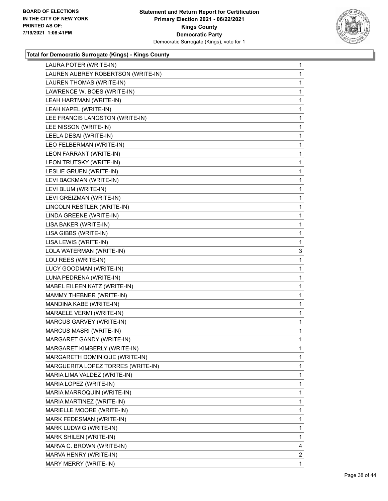

| LAURA POTER (WRITE-IN)             | $\mathbf{1}$   |
|------------------------------------|----------------|
| LAUREN AUBREY ROBERTSON (WRITE-IN) | $\mathbf{1}$   |
| LAUREN THOMAS (WRITE-IN)           | $\mathbf{1}$   |
| LAWRENCE W. BOES (WRITE-IN)        | $\mathbf{1}$   |
| LEAH HARTMAN (WRITE-IN)            | 1              |
| LEAH KAPEL (WRITE-IN)              | 1              |
| LEE FRANCIS LANGSTON (WRITE-IN)    | $\mathbf{1}$   |
| LEE NISSON (WRITE-IN)              | $\mathbf{1}$   |
| LEELA DESAI (WRITE-IN)             | 1              |
| LEO FELBERMAN (WRITE-IN)           | $\mathbf{1}$   |
| LEON FARRANT (WRITE-IN)            | 1              |
| LEON TRUTSKY (WRITE-IN)            | 1              |
| LESLIE GRUEN (WRITE-IN)            | $\mathbf{1}$   |
| LEVI BACKMAN (WRITE-IN)            | 1              |
| LEVI BLUM (WRITE-IN)               | 1              |
| LEVI GREIZMAN (WRITE-IN)           | $\mathbf{1}$   |
| LINCOLN RESTLER (WRITE-IN)         | 1              |
| LINDA GREENE (WRITE-IN)            | 1              |
| LISA BAKER (WRITE-IN)              | $\mathbf{1}$   |
| LISA GIBBS (WRITE-IN)              | 1              |
| LISA LEWIS (WRITE-IN)              | $\mathbf 1$    |
| LOLA WATERMAN (WRITE-IN)           | 3              |
| LOU REES (WRITE-IN)                | 1              |
| LUCY GOODMAN (WRITE-IN)            | 1              |
| LUNA PEDRENA (WRITE-IN)            | $\mathbf{1}$   |
| MABEL EILEEN KATZ (WRITE-IN)       | 1              |
| MAMMY THEBNER (WRITE-IN)           | 1              |
| MANDINA KABE (WRITE-IN)            | $\mathbf 1$    |
| MARAELE VERMI (WRITE-IN)           | 1              |
| MARCUS GARVEY (WRITE-IN)           | 1              |
| <b>MARCUS MASRI (WRITE-IN)</b>     | $\mathbf{1}$   |
| MARGARET GANDY (WRITE-IN)          | 1              |
| MARGARET KIMBERLY (WRITE-IN)       | 1              |
| MARGARETH DOMINIQUE (WRITE-IN)     | $\mathbf{1}$   |
| MARGUERITA LOPEZ TORRES (WRITE-IN) | 1              |
| MARIA LIMA VALDEZ (WRITE-IN)       | 1              |
| MARIA LOPEZ (WRITE-IN)             | 1              |
| MARIA MARROQUIN (WRITE-IN)         | 1              |
| MARIA MARTINEZ (WRITE-IN)          | 1              |
| MARIELLE MOORE (WRITE-IN)          | 1              |
| MARK FEDESMAN (WRITE-IN)           | 1              |
| MARK LUDWIG (WRITE-IN)             | 1              |
| MARK SHILEN (WRITE-IN)             | 1              |
| MARVA C. BROWN (WRITE-IN)          | 4              |
| MARVA HENRY (WRITE-IN)             | $\overline{2}$ |
| MARY MERRY (WRITE-IN)              | $\mathbf{1}$   |
|                                    |                |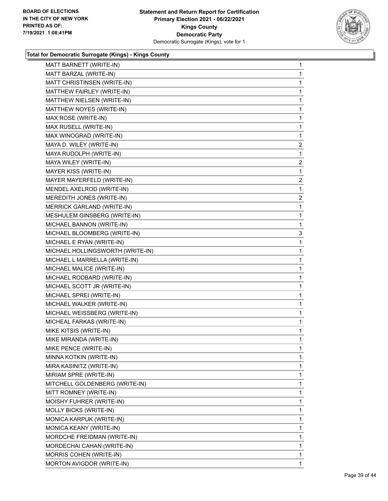

| MATT BARNETT (WRITE-IN)          | $\mathbf{1}$   |
|----------------------------------|----------------|
| MATT BARZAL (WRITE-IN)           | $\mathbf{1}$   |
| MATT CHRISTINSEN (WRITE-IN)      | $\mathbf{1}$   |
| MATTHEW FAIRLEY (WRITE-IN)       | $\mathbf{1}$   |
| MATTHEW NIELSEN (WRITE-IN)       | $\mathbf{1}$   |
| MATTHEW NOYES (WRITE-IN)         | 1              |
| MAX ROSE (WRITE-IN)              | $\mathbf 1$    |
| MAX RUSELL (WRITE-IN)            | $\mathbf{1}$   |
| MAX WINOGRAD (WRITE-IN)          | $\mathbf{1}$   |
| MAYA D. WILEY (WRITE-IN)         | 2              |
| MAYA RUDOLPH (WRITE-IN)          | 1              |
| MAYA WILEY (WRITE-IN)            | 2              |
| MAYER KISS (WRITE-IN)            | $\mathbf{1}$   |
| MAYER MAYERFELD (WRITE-IN)       | $\overline{c}$ |
| MENDEL AXELROD (WRITE-IN)        | $\mathbf{1}$   |
| MEREDITH JONES (WRITE-IN)        | 2              |
| MERRICK GARLAND (WRITE-IN)       | 1              |
| MESHULEM GINSBERG (WRITE-IN)     | $\mathbf{1}$   |
| MICHAEL BANNON (WRITE-IN)        | $\mathbf 1$    |
| MICHAEL BLOOMBERG (WRITE-IN)     | 3              |
| MICHAEL E RYAN (WRITE-IN)        | $\mathbf{1}$   |
| MICHAEL HOLLINGSWORTH (WRITE-IN) | $\mathbf{1}$   |
| MICHAEL L MARRELLA (WRITE-IN)    | $\mathbf 1$    |
| MICHAEL MALICE (WRITE-IN)        | $\mathbf{1}$   |
| MICHAEL RODBARD (WRITE-IN)       | $\mathbf 1$    |
| MICHAEL SCOTT JR (WRITE-IN)      | $\mathbf{1}$   |
| MICHAEL SPREI (WRITE-IN)         | $\mathbf{1}$   |
| MICHAEL WALKER (WRITE-IN)        | $\mathbf{1}$   |
| MICHAEL WEISSBERG (WRITE-IN)     | $\mathbf{1}$   |
| MICHEAL FARKAS (WRITE-IN)        | $\mathbf{1}$   |
| MIKE KITSIS (WRITE-IN)           | $\mathbf 1$    |
| MIKE MIRANDA (WRITE-IN)          | 1              |
| MIKE PENCE (WRITE-IN)            | 1              |
| MINNA KOTKIN (WRITE-IN)          | $\mathbf 1$    |
| MIRA KASINITZ (WRITE-IN)         | 1              |
| MIRIAM SPRE (WRITE-IN)           | 1              |
| MITCHELL GOLDENBERG (WRITE-IN)   | 1              |
| MITT ROMNEY (WRITE-IN)           | 1              |
| MOISHY FUHRER (WRITE-IN)         | 1              |
| MOLLY BICKS (WRITE-IN)           | 1              |
| MONICA KARPUK (WRITE-IN)         | 1              |
| MONICA KEANY (WRITE-IN)          | 1              |
| MORDCHE FREIDMAN (WRITE-IN)      | 1              |
| MORDECHAI CAHAN (WRITE-IN)       | $\mathbf{1}$   |
| MORRIS COHEN (WRITE-IN)          | 1              |
| MORTON AVIGDOR (WRITE-IN)        | 1              |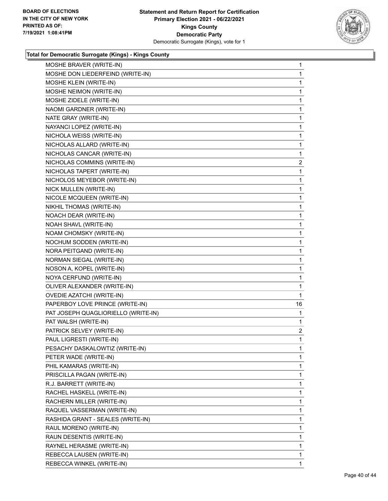

| MOSHE BRAVER (WRITE-IN)             | 1              |
|-------------------------------------|----------------|
| MOSHE DON LIEDERFEIND (WRITE-IN)    | 1              |
| MOSHE KLEIN (WRITE-IN)              | 1              |
| MOSHE NEIMON (WRITE-IN)             | 1              |
| MOSHE ZIDELE (WRITE-IN)             | 1              |
| NAOMI GARDNER (WRITE-IN)            | 1              |
| NATE GRAY (WRITE-IN)                | 1              |
| NAYANCI LOPEZ (WRITE-IN)            | 1              |
| NICHOLA WEISS (WRITE-IN)            | 1              |
| NICHOLAS ALLARD (WRITE-IN)          | 1              |
| NICHOLAS CANCAR (WRITE-IN)          | 1              |
| NICHOLAS COMMINS (WRITE-IN)         | $\overline{2}$ |
| NICHOLAS TAPERT (WRITE-IN)          | 1              |
| NICHOLOS MEYEBOR (WRITE-IN)         | 1              |
| NICK MULLEN (WRITE-IN)              | 1              |
| NICOLE MCQUEEN (WRITE-IN)           | 1              |
| NIKHIL THOMAS (WRITE-IN)            | 1              |
| NOACH DEAR (WRITE-IN)               | 1              |
| NOAH SHAVL (WRITE-IN)               | 1              |
| NOAM CHOMSKY (WRITE-IN)             | 1              |
| NOCHUM SODDEN (WRITE-IN)            | 1              |
| NORA PEITGAND (WRITE-IN)            | 1              |
| NORMAN SIEGAL (WRITE-IN)            | 1              |
| NOSON A, KOPEL (WRITE-IN)           | 1              |
| NOYA CERFUND (WRITE-IN)             | 1              |
| OLIVER ALEXANDER (WRITE-IN)         | 1              |
| <b>OVEDIE AZATCHI (WRITE-IN)</b>    | 1              |
| PAPERBOY LOVE PRINCE (WRITE-IN)     | 16             |
| PAT JOSEPH QUAGLIORIELLO (WRITE-IN) | 1              |
| PAT WALSH (WRITE-IN)                | 1              |
| PATRICK SELVEY (WRITE-IN)           | $\overline{2}$ |
| PAUL LIGRESTI (WRITE-IN)            | 1              |
| PESACHY DASKALOWTIZ (WRITE-IN)      | 1              |
| PETER WADE (WRITE-IN)               | 1.             |
| PHIL KAMARAS (WRITE-IN)             | 1              |
| PRISCILLA PAGAN (WRITE-IN)          | 1              |
| R.J. BARRETT (WRITE-IN)             | 1              |
| RACHEL HASKELL (WRITE-IN)           | 1              |
| RACHERN MILLER (WRITE-IN)           | 1              |
| RAQUEL VASSERMAN (WRITE-IN)         | 1              |
| RASHIDA GRANT - SEALES (WRITE-IN)   | 1              |
| RAUL MORENO (WRITE-IN)              | 1              |
| RAUN DESENTIS (WRITE-IN)            | 1              |
| RAYNEL HERASME (WRITE-IN)           | 1              |
| REBECCA LAUSEN (WRITE-IN)           | $\mathbf{1}$   |
| REBECCA WINKEL (WRITE-IN)           | 1.             |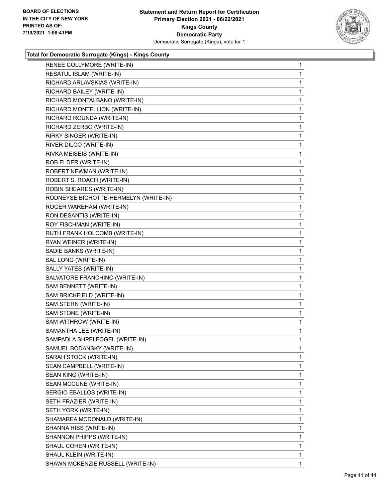

| RESATUL ISLAM (WRITE-IN)<br>RICHARD ARLAVSKIAS (WRITE-IN)<br>1<br>RICHARD BAILEY (WRITE-IN)<br>RICHARD MONTALBANO (WRITE-IN)<br>RICHARD MONTELLION (WRITE-IN)<br>RICHARD ROUNDA (WRITE-IN)<br>RICHARD ZERBO (WRITE-IN)<br>1<br>RIRKY SINGER (WRITE-IN)<br>RIVER DILCO (WRITE-IN)<br>RIVKA MEISEIS (WRITE-IN)<br>ROB ELDER (WRITE-IN)<br>ROBERT NEWMAN (WRITE-IN)<br>ROBERT S. ROACH (WRITE-IN)<br>ROBIN SHEARES (WRITE-IN)<br>1<br>RODNEYSE BICHOTTE-HERMELYN (WRITE-IN)<br>ROGER WAREHAM (WRITE-IN)<br>RON DESANTIS (WRITE-IN)<br>ROY FISCHMAN (WRITE-IN)<br>RUTH FRANK HOLCOMB (WRITE-IN)<br>1<br>RYAN WEINER (WRITE-IN)<br>SADIE BANKS (WRITE-IN)<br>SAL LONG (WRITE-IN)<br>SALLY YATES (WRITE-IN)<br>SALVATORE FRANCHINO (WRITE-IN)<br>SAM BENNETT (WRITE-IN)<br>SAM BRICKFIELD (WRITE-IN)<br>1<br>SAM STERN (WRITE-IN)<br>SAM STONE (WRITE-IN)<br>SAM WITHROW (WRITE-IN)<br>SAMANTHA LEE (WRITE-IN)<br>SAMPADLA SHPELFOGEL (WRITE-IN)<br>SAMUEL BODANSKY (WRITE-IN)<br>1<br>SARAH STOCK (WRITE-IN)<br>SEAN CAMPBELL (WRITE-IN)<br>SEAN KING (WRITE-IN)<br>SEAN MCCUNE (WRITE-IN)<br>SERGIO EBALLOS (WRITE-IN)<br>SETH FRAZIER (WRITE-IN)<br>SETH YORK (WRITE-IN)<br>SHAMAREA MCDONALD (WRITE-IN)<br>SHANNA RISS (WRITE-IN)<br>SHANNON PHIPPS (WRITE-IN)<br>SHAUL COHEN (WRITE-IN)<br>SHAUL KLEIN (WRITE-IN) | RENEE COLLYMORE (WRITE-IN)        | 1            |
|------------------------------------------------------------------------------------------------------------------------------------------------------------------------------------------------------------------------------------------------------------------------------------------------------------------------------------------------------------------------------------------------------------------------------------------------------------------------------------------------------------------------------------------------------------------------------------------------------------------------------------------------------------------------------------------------------------------------------------------------------------------------------------------------------------------------------------------------------------------------------------------------------------------------------------------------------------------------------------------------------------------------------------------------------------------------------------------------------------------------------------------------------------------------------------------------------------------------------------------------------------------------------------------------------------------|-----------------------------------|--------------|
|                                                                                                                                                                                                                                                                                                                                                                                                                                                                                                                                                                                                                                                                                                                                                                                                                                                                                                                                                                                                                                                                                                                                                                                                                                                                                                                  |                                   | 1            |
|                                                                                                                                                                                                                                                                                                                                                                                                                                                                                                                                                                                                                                                                                                                                                                                                                                                                                                                                                                                                                                                                                                                                                                                                                                                                                                                  |                                   |              |
|                                                                                                                                                                                                                                                                                                                                                                                                                                                                                                                                                                                                                                                                                                                                                                                                                                                                                                                                                                                                                                                                                                                                                                                                                                                                                                                  |                                   | 1            |
|                                                                                                                                                                                                                                                                                                                                                                                                                                                                                                                                                                                                                                                                                                                                                                                                                                                                                                                                                                                                                                                                                                                                                                                                                                                                                                                  |                                   | 1            |
|                                                                                                                                                                                                                                                                                                                                                                                                                                                                                                                                                                                                                                                                                                                                                                                                                                                                                                                                                                                                                                                                                                                                                                                                                                                                                                                  |                                   | 1            |
|                                                                                                                                                                                                                                                                                                                                                                                                                                                                                                                                                                                                                                                                                                                                                                                                                                                                                                                                                                                                                                                                                                                                                                                                                                                                                                                  |                                   | 1            |
|                                                                                                                                                                                                                                                                                                                                                                                                                                                                                                                                                                                                                                                                                                                                                                                                                                                                                                                                                                                                                                                                                                                                                                                                                                                                                                                  |                                   | 1            |
|                                                                                                                                                                                                                                                                                                                                                                                                                                                                                                                                                                                                                                                                                                                                                                                                                                                                                                                                                                                                                                                                                                                                                                                                                                                                                                                  |                                   |              |
|                                                                                                                                                                                                                                                                                                                                                                                                                                                                                                                                                                                                                                                                                                                                                                                                                                                                                                                                                                                                                                                                                                                                                                                                                                                                                                                  |                                   | 1            |
|                                                                                                                                                                                                                                                                                                                                                                                                                                                                                                                                                                                                                                                                                                                                                                                                                                                                                                                                                                                                                                                                                                                                                                                                                                                                                                                  |                                   | 1            |
|                                                                                                                                                                                                                                                                                                                                                                                                                                                                                                                                                                                                                                                                                                                                                                                                                                                                                                                                                                                                                                                                                                                                                                                                                                                                                                                  |                                   | 1            |
|                                                                                                                                                                                                                                                                                                                                                                                                                                                                                                                                                                                                                                                                                                                                                                                                                                                                                                                                                                                                                                                                                                                                                                                                                                                                                                                  |                                   | 1            |
|                                                                                                                                                                                                                                                                                                                                                                                                                                                                                                                                                                                                                                                                                                                                                                                                                                                                                                                                                                                                                                                                                                                                                                                                                                                                                                                  |                                   | 1            |
|                                                                                                                                                                                                                                                                                                                                                                                                                                                                                                                                                                                                                                                                                                                                                                                                                                                                                                                                                                                                                                                                                                                                                                                                                                                                                                                  |                                   |              |
|                                                                                                                                                                                                                                                                                                                                                                                                                                                                                                                                                                                                                                                                                                                                                                                                                                                                                                                                                                                                                                                                                                                                                                                                                                                                                                                  |                                   | 1            |
|                                                                                                                                                                                                                                                                                                                                                                                                                                                                                                                                                                                                                                                                                                                                                                                                                                                                                                                                                                                                                                                                                                                                                                                                                                                                                                                  |                                   | 1            |
|                                                                                                                                                                                                                                                                                                                                                                                                                                                                                                                                                                                                                                                                                                                                                                                                                                                                                                                                                                                                                                                                                                                                                                                                                                                                                                                  |                                   | 1            |
|                                                                                                                                                                                                                                                                                                                                                                                                                                                                                                                                                                                                                                                                                                                                                                                                                                                                                                                                                                                                                                                                                                                                                                                                                                                                                                                  |                                   | 1            |
|                                                                                                                                                                                                                                                                                                                                                                                                                                                                                                                                                                                                                                                                                                                                                                                                                                                                                                                                                                                                                                                                                                                                                                                                                                                                                                                  |                                   | 1            |
|                                                                                                                                                                                                                                                                                                                                                                                                                                                                                                                                                                                                                                                                                                                                                                                                                                                                                                                                                                                                                                                                                                                                                                                                                                                                                                                  |                                   |              |
|                                                                                                                                                                                                                                                                                                                                                                                                                                                                                                                                                                                                                                                                                                                                                                                                                                                                                                                                                                                                                                                                                                                                                                                                                                                                                                                  |                                   | 1            |
|                                                                                                                                                                                                                                                                                                                                                                                                                                                                                                                                                                                                                                                                                                                                                                                                                                                                                                                                                                                                                                                                                                                                                                                                                                                                                                                  |                                   | 1            |
|                                                                                                                                                                                                                                                                                                                                                                                                                                                                                                                                                                                                                                                                                                                                                                                                                                                                                                                                                                                                                                                                                                                                                                                                                                                                                                                  |                                   | 1            |
|                                                                                                                                                                                                                                                                                                                                                                                                                                                                                                                                                                                                                                                                                                                                                                                                                                                                                                                                                                                                                                                                                                                                                                                                                                                                                                                  |                                   | 1            |
|                                                                                                                                                                                                                                                                                                                                                                                                                                                                                                                                                                                                                                                                                                                                                                                                                                                                                                                                                                                                                                                                                                                                                                                                                                                                                                                  |                                   | 1            |
|                                                                                                                                                                                                                                                                                                                                                                                                                                                                                                                                                                                                                                                                                                                                                                                                                                                                                                                                                                                                                                                                                                                                                                                                                                                                                                                  |                                   |              |
|                                                                                                                                                                                                                                                                                                                                                                                                                                                                                                                                                                                                                                                                                                                                                                                                                                                                                                                                                                                                                                                                                                                                                                                                                                                                                                                  |                                   | 1            |
|                                                                                                                                                                                                                                                                                                                                                                                                                                                                                                                                                                                                                                                                                                                                                                                                                                                                                                                                                                                                                                                                                                                                                                                                                                                                                                                  |                                   | 1            |
|                                                                                                                                                                                                                                                                                                                                                                                                                                                                                                                                                                                                                                                                                                                                                                                                                                                                                                                                                                                                                                                                                                                                                                                                                                                                                                                  |                                   | 1            |
|                                                                                                                                                                                                                                                                                                                                                                                                                                                                                                                                                                                                                                                                                                                                                                                                                                                                                                                                                                                                                                                                                                                                                                                                                                                                                                                  |                                   | 1            |
|                                                                                                                                                                                                                                                                                                                                                                                                                                                                                                                                                                                                                                                                                                                                                                                                                                                                                                                                                                                                                                                                                                                                                                                                                                                                                                                  |                                   | $\mathbf{1}$ |
|                                                                                                                                                                                                                                                                                                                                                                                                                                                                                                                                                                                                                                                                                                                                                                                                                                                                                                                                                                                                                                                                                                                                                                                                                                                                                                                  |                                   |              |
|                                                                                                                                                                                                                                                                                                                                                                                                                                                                                                                                                                                                                                                                                                                                                                                                                                                                                                                                                                                                                                                                                                                                                                                                                                                                                                                  |                                   | 1            |
|                                                                                                                                                                                                                                                                                                                                                                                                                                                                                                                                                                                                                                                                                                                                                                                                                                                                                                                                                                                                                                                                                                                                                                                                                                                                                                                  |                                   | 1            |
|                                                                                                                                                                                                                                                                                                                                                                                                                                                                                                                                                                                                                                                                                                                                                                                                                                                                                                                                                                                                                                                                                                                                                                                                                                                                                                                  |                                   | 1            |
|                                                                                                                                                                                                                                                                                                                                                                                                                                                                                                                                                                                                                                                                                                                                                                                                                                                                                                                                                                                                                                                                                                                                                                                                                                                                                                                  |                                   | 1            |
|                                                                                                                                                                                                                                                                                                                                                                                                                                                                                                                                                                                                                                                                                                                                                                                                                                                                                                                                                                                                                                                                                                                                                                                                                                                                                                                  |                                   | 1            |
|                                                                                                                                                                                                                                                                                                                                                                                                                                                                                                                                                                                                                                                                                                                                                                                                                                                                                                                                                                                                                                                                                                                                                                                                                                                                                                                  |                                   | 1            |
|                                                                                                                                                                                                                                                                                                                                                                                                                                                                                                                                                                                                                                                                                                                                                                                                                                                                                                                                                                                                                                                                                                                                                                                                                                                                                                                  |                                   | 1            |
|                                                                                                                                                                                                                                                                                                                                                                                                                                                                                                                                                                                                                                                                                                                                                                                                                                                                                                                                                                                                                                                                                                                                                                                                                                                                                                                  |                                   | 1            |
|                                                                                                                                                                                                                                                                                                                                                                                                                                                                                                                                                                                                                                                                                                                                                                                                                                                                                                                                                                                                                                                                                                                                                                                                                                                                                                                  |                                   | 1            |
|                                                                                                                                                                                                                                                                                                                                                                                                                                                                                                                                                                                                                                                                                                                                                                                                                                                                                                                                                                                                                                                                                                                                                                                                                                                                                                                  |                                   | 1            |
|                                                                                                                                                                                                                                                                                                                                                                                                                                                                                                                                                                                                                                                                                                                                                                                                                                                                                                                                                                                                                                                                                                                                                                                                                                                                                                                  |                                   | 1            |
|                                                                                                                                                                                                                                                                                                                                                                                                                                                                                                                                                                                                                                                                                                                                                                                                                                                                                                                                                                                                                                                                                                                                                                                                                                                                                                                  |                                   | 1            |
|                                                                                                                                                                                                                                                                                                                                                                                                                                                                                                                                                                                                                                                                                                                                                                                                                                                                                                                                                                                                                                                                                                                                                                                                                                                                                                                  | SHAWN MCKENZIE RUSSELL (WRITE-IN) | 1            |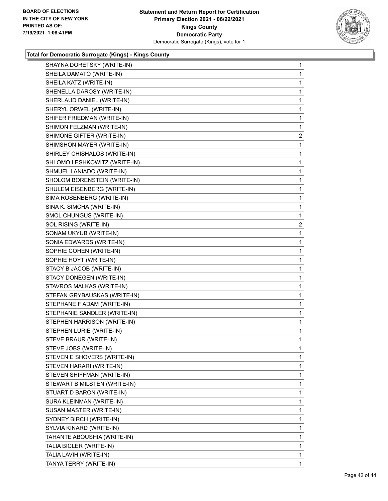

| SHAYNA DORETSKY (WRITE-IN)   | $\mathbf{1}$   |
|------------------------------|----------------|
| SHEILA DAMATO (WRITE-IN)     | 1              |
| SHEILA KATZ (WRITE-IN)       | $\mathbf{1}$   |
| SHENELLA DAROSY (WRITE-IN)   | 1              |
| SHERLAUD DANIEL (WRITE-IN)   | 1              |
| SHERYL ORWEL (WRITE-IN)      | 1              |
| SHIFER FRIEDMAN (WRITE-IN)   | 1              |
| SHIMON FELZMAN (WRITE-IN)    | 1              |
| SHIMONE GIFTER (WRITE-IN)    | $\overline{a}$ |
| SHIMSHON MAYER (WRITE-IN)    | 1              |
| SHIRLEY CHISHALOS (WRITE-IN) | 1              |
| SHLOMO LESHKOWITZ (WRITE-IN) | 1              |
| SHMUEL LANIADO (WRITE-IN)    | $\mathbf{1}$   |
| SHOLOM BORENSTEIN (WRITE-IN) | 1              |
| SHULEM EISENBERG (WRITE-IN)  | 1              |
| SIMA ROSENBERG (WRITE-IN)    | 1              |
| SINA K. SIMCHA (WRITE-IN)    | 1              |
| SMOL CHUNGUS (WRITE-IN)      | 1              |
| SOL RISING (WRITE-IN)        | $\overline{2}$ |
| SONAM UKYUB (WRITE-IN)       | 1              |
| SONIA EDWARDS (WRITE-IN)     | 1              |
| SOPHIE COHEN (WRITE-IN)      | 1              |
| SOPHIE HOYT (WRITE-IN)       | 1              |
| STACY B JACOB (WRITE-IN)     | 1              |
| STACY DONEGEN (WRITE-IN)     | 1              |
| STAVROS MALKAS (WRITE-IN)    | 1              |
| STEFAN GRYBAUSKAS (WRITE-IN) | 1              |
| STEPHANE F ADAM (WRITE-IN)   | 1              |
| STEPHANIE SANDLER (WRITE-IN) | 1              |
| STEPHEN HARRISON (WRITE-IN)  | $\mathbf{1}$   |
| STEPHEN LURIE (WRITE-IN)     | 1              |
| STEVE BRAUR (WRITE-IN)       | 1              |
| STEVE JOBS (WRITE-IN)        | 1              |
| STEVEN E SHOVERS (WRITE-IN)  | 1              |
| STEVEN HARARI (WRITE-IN)     | 1              |
| STEVEN SHIFFMAN (WRITE-IN)   | 1              |
| STEWART B MILSTEN (WRITE-IN) | 1              |
| STUART D BARON (WRITE-IN)    | 1              |
| SURA KLEINMAN (WRITE-IN)     | 1              |
| SUSAN MASTER (WRITE-IN)      | 1              |
| SYDNEY BIRCH (WRITE-IN)      | 1              |
| SYLVIA KINARD (WRITE-IN)     | 1              |
| TAHANTE ABOUSHIA (WRITE-IN)  | 1              |
| TALIA BICLER (WRITE-IN)      | 1              |
| TALIA LAVIH (WRITE-IN)       | 1              |
| TANYA TERRY (WRITE-IN)       | 1              |
|                              |                |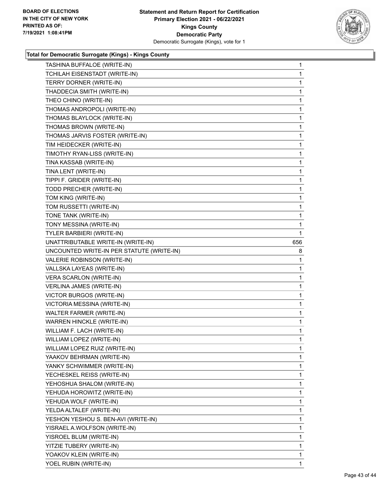

|                                           | $\mathbf{1}$ |
|-------------------------------------------|--------------|
| TCHILAH EISENSTADT (WRITE-IN)             | 1            |
| TERRY DORNER (WRITE-IN)                   | 1            |
| THADDECIA SMITH (WRITE-IN)                | 1            |
| THEO CHINO (WRITE-IN)                     | 1            |
| THOMAS ANDROPOLI (WRITE-IN)               | 1            |
| THOMAS BLAYLOCK (WRITE-IN)                | 1            |
| THOMAS BROWN (WRITE-IN)                   | 1            |
| THOMAS JARVIS FOSTER (WRITE-IN)           | 1            |
| TIM HEIDECKER (WRITE-IN)                  | 1            |
| TIMOTHY RYAN-LISS (WRITE-IN)              | 1            |
| TINA KASSAB (WRITE-IN)                    | 1            |
| TINA LENT (WRITE-IN)                      | 1            |
| TIPPI F. GRIDER (WRITE-IN)                | 1            |
| TODD PRECHER (WRITE-IN)                   | 1            |
| TOM KING (WRITE-IN)                       | 1            |
| TOM RUSSETTI (WRITE-IN)                   | 1            |
| TONE TANK (WRITE-IN)                      | 1            |
| TONY MESSINA (WRITE-IN)                   | 1            |
| TYLER BARBIERI (WRITE-IN)                 | 1            |
| UNATTRIBUTABLE WRITE-IN (WRITE-IN)        | 656          |
| UNCOUNTED WRITE-IN PER STATUTE (WRITE-IN) | 8            |
| VALERIE ROBINSON (WRITE-IN)               | 1            |
| VALLSKA LAYEAS (WRITE-IN)                 | 1            |
| VERA SCARLON (WRITE-IN)                   | 1            |
| VERLINA JAMES (WRITE-IN)                  | $\mathbf{1}$ |
| VICTOR BURGOS (WRITE-IN)                  | 1            |
| VICTORIA MESSINA (WRITE-IN)               | 1            |
| <b>WALTER FARMER (WRITE-IN)</b>           | 1            |
| WARREN HINCKLE (WRITE-IN)                 | 1            |
|                                           | 1            |
| WILLIAM F. LACH (WRITE-IN)                |              |
| WILLIAM LOPEZ (WRITE-IN)                  | 1            |
| WILLIAM LOPEZ RUIZ (WRITE-IN)             | 1            |
| YAAKOV BEHRMAN (WRITE-IN)                 | 1.           |
| YANKY SCHWIMMER (WRITE-IN)                | 1            |
| YECHESKEL REISS (WRITE-IN)                | 1            |
| YEHOSHUA SHALOM (WRITE-IN)                | 1            |
| YEHUDA HOROWITZ (WRITE-IN)                | 1            |
| YEHUDA WOLF (WRITE-IN)                    | 1            |
| YELDA ALTALEF (WRITE-IN)                  | 1            |
| YESHON YESHOU S. BEN-AVI (WRITE-IN)       | 1            |
| YISRAEL A.WOLFSON (WRITE-IN)              | 1            |
| YISROEL BLUM (WRITE-IN)                   | 1            |
| YITZIE TUBERY (WRITE-IN)                  | 1            |
| YOAKOV KLEIN (WRITE-IN)                   | 1            |